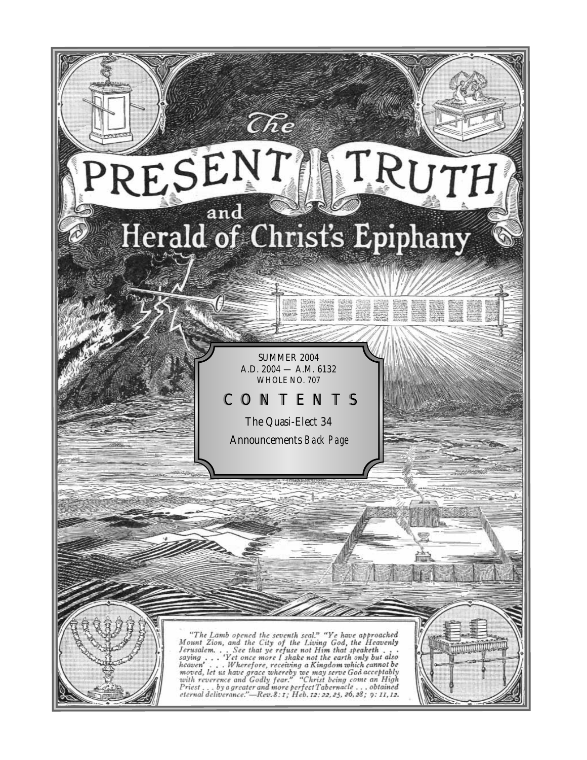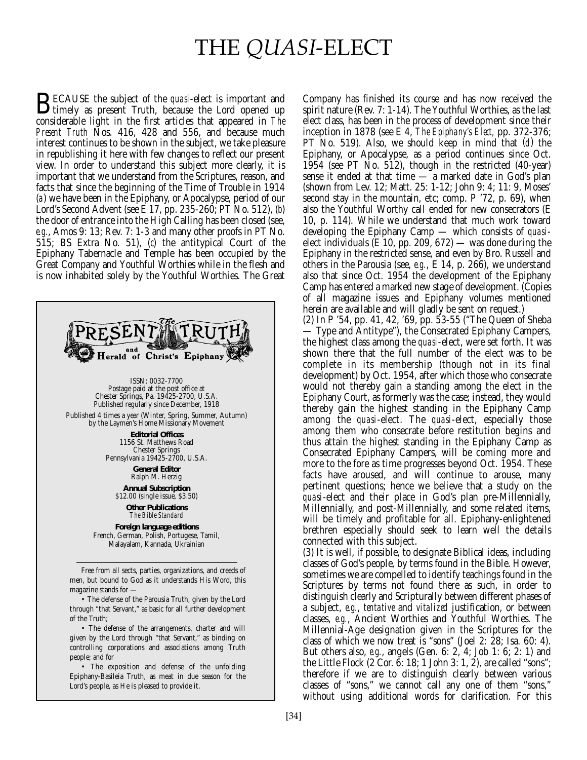# THE *QUASI*-ELECT

**BECAUSE** the subject of the *quasi*-elect is important and<br>timely as present Truth, because the Lord opened up<br>considerable light in the first extigles that appeared in The considerable light in the first articles that appeared in *The Present Truth* Nos. 416, 428 and 556, and because much interest continues to be shown in the subject, we take pleasure in republishing it here with few changes to reflect our present view. In order to understand this subject more clearly, it is important that we understand from the Scriptures, reason, and facts that since the beginning of the Time of Trouble in 1914 (*a*) we have been in the Epiphany, or Apocalypse, period of our Lord's Second Advent (see E 17, pp. 235-260; PT No. 512), (*b*) the door of entrance into the High Calling has been closed (see, *e.g.*, Amos 9: 13; Rev. 7: 1-3 and many other proofs in PT No. 515; BS Extra No. 51), (*c*) the antitypical Court of the Epiphany Tabernacle and Temple has been occupied by the Great Company and Youthful Worthies while in the flesh and is now inhabited solely by the Youthful Worthies. The Great



• The defense of the Parousia Truth, given by the Lord through "that Servant," as basic for all further development of the Truth;

• The defense of the arrangements, charter and will given by the Lord through "that Servant," as binding on controlling corporations and associations among Truth people; and for

• The exposition and defense of the unfolding Epiphany-Basileia Truth, as meat in due season for the Lord's people, as He is pleased to provide it.

Company has finished its course and has now received the spirit nature (Rev. 7: 1-14). The Youthful Worthies, as the last elect class, has been in the process of development since their inception in 1878 (see E 4, *The Epiphany's Elect,* pp. 372-376; PT No. 519). Also, we should keep in mind that (*d*) the Epiphany, or Apocalypse, as a period continues since Oct. 1954 (see PT No. 512), though in the restricted (40-year) sense it ended at that time — a marked date in God's plan (shown from Lev. 12; Matt. 25: 1-12; John 9: 4; 11: 9, Moses' second stay in the mountain, etc; comp. P '72, p. 69), when also the Youthful Worthy call ended for new consecrators (E 10, p. 114). While we understand that much work toward developing the Epiphany Camp — which consists of *quasi*elect individuals (E 10, pp. 209, 672) — was done during the Epiphany in the restricted sense, and even by Bro. Russell and others in the Parousia (see, *e.g.*, E 14, p. 266), we understand also that since Oct. 1954 the development of the Epiphany Camp has entered a marked new stage of development. (Copies of all magazine issues and Epiphany volumes mentioned herein are available and will gladly be sent on request.)

(2) In P '54, pp. 41, 42, '69, pp. 53-55 ("The Queen of Sheba — Type and Antitype"), the Consecrated Epiphany Campers, the highest class among the *quasi*-elect, were set forth. It was shown there that the full number of the elect was to be complete in its membership (though not in its final development) by Oct. 1954, after which those who consecrate would not thereby gain a standing among the elect in the Epiphany Court, as formerly was the case; instead, they would thereby gain the highest standing in the Epiphany Camp among the *quasi*-elect. The *quasi*-elect, especially those among them who consecrate before restitution begins and thus attain the highest standing in the Epiphany Camp as Consecrated Epiphany Campers, will be coming more and more to the fore as time progresses beyond Oct. 1954. These facts have aroused, and will continue to arouse, many pertinent questions; hence we believe that a study on the *quasi*-elect and their place in God's plan pre-Millennially, Millennially, and post-Millennially, and some related items, will be timely and profitable for all. Epiphany-enlightened brethren especially should seek to learn well the details connected with this subject.

(3) It is well, if possible, to designate Biblical ideas, including classes of God's people, by terms found in the Bible. However, sometimes we are compelled to identify teachings found in the Scriptures by terms not found there as such, in order to distinguish clearly and Scripturally between different phases of a subject, *e.g.*, *tentative* and *vitalized* justification, or between classes, *e.g.*, Ancient Worthies and Youthful Worthies. The Millennial-Age designation given in the Scriptures for the class of which we now treat is "sons" (Joel 2: 28; Isa. 60: 4). But others also, *e.g.*, angels (Gen. 6: 2, 4; Job 1: 6; 2: 1) and the Little Flock (2 Cor. 6: 18; 1 John 3: 1, 2), are called "sons"; therefore if we are to distinguish clearly between various classes of "sons," we cannot call any one of them "sons," without using additional words for clarification. For this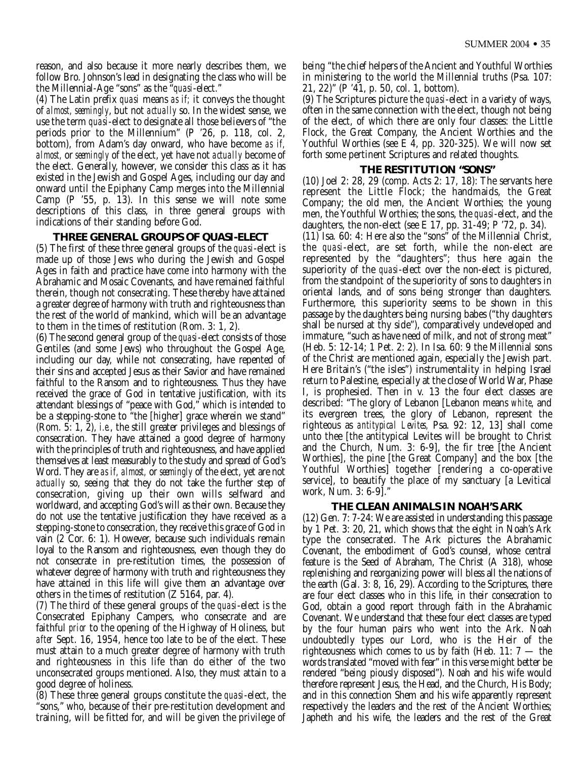reason, and also because it more nearly describes them, we follow Bro. Johnson's lead in designating the class who will be the Millennial-Age "sons" as the "*quasi*-elect."

(4) The Latin prefix *quasi* means *as if;* it conveys the thought of *almost, seemingly*, but not *actually* so. In the widest sense, we use the term *quasi*-elect to designate all those believers of "the periods prior to the Millennium" (P '26, p. 118, col. 2, bottom), from Adam's day onward, who have become *as if, almost,* or *seemingly* of the elect, yet have not *actually* become of the elect. Generally, however, we consider this class as it has existed in the Jewish and Gospel Ages, including our day and onward until the Epiphany Camp merges into the Millennial Camp (P '55, p. 13). In this sense we will note some descriptions of this class, in three general groups with indications of their standing before God.

#### **THREE GENERAL GROUPS OF** *QUASI***-ELECT**

(5) The first of these three general groups of the *quasi*-elect is made up of those Jews who during the Jewish and Gospel Ages in faith and practice have come into harmony with the Abrahamic and Mosaic Covenants, and have remained faithful therein, though not consecrating. These thereby have attained a greater degree of harmony with truth and righteousness than the rest of the world of mankind, which will be an advantage to them in the times of restitution (Rom. 3: 1, 2).

(6) The second general group of the *quasi*-elect consists of those Gentiles (and some Jews) who throughout the Gospel Age, including our day, while not consecrating, have repented of their sins and accepted Jesus as their Savior and have remained faithful to the Ransom and to righteousness. Thus they have received the grace of God in tentative justification, with its attendant blessings of "peace with God," which is intended to be a stepping-stone to "the [higher] grace wherein we stand" (Rom. 5: 1, 2), *i.e.*, the still greater privileges and blessings of consecration. They have attained a good degree of harmony with the principles of truth and righteousness, and have applied themselves at least measurably to the study and spread of God's Word. They are *as if, almost,* or *seemingly* of the elect, yet are not *actually* so, seeing that they do not take the further step of consecration, giving up their own wills selfward and worldward, and accepting God's will as their own. Because they do not use the tentative justification they have received as a stepping-stone to consecration, they receive this grace of God in vain (2 Cor. 6: 1). However, because such individuals remain loyal to the Ransom and righteousness, even though they do not consecrate in pre-restitution times, the possession of whatever degree of harmony with truth and righteousness they have attained in this life will give them an advantage over others in the times of restitution (Z 5164, par. 4).

(7) The third of these general groups of the *quasi*-elect is the Consecrated Epiphany Campers, who consecrate and are faithful *prior* to the opening of the Highway of Holiness, but *after* Sept. 16, 1954, hence too late to be of the elect. These must attain to a much greater degree of harmony with truth and righteousness in this life than do either of the two unconsecrated groups mentioned. Also, they must attain to a good degree of holiness.

(8) These three general groups constitute the *quasi*-elect, the "sons," who, because of their pre-restitution development and training, will be fitted for, and will be given the privilege of being "the chief helpers of the Ancient and Youthful Worthies in ministering to the world the Millennial truths (Psa. 107: 21, 22)" (P '41, p. 50, col. 1, bottom).

(9) The Scriptures picture the *quasi*-elect in a variety of ways, often in the same connection with the elect, though not being of the elect, of which there are only four classes: the Little Flock, the Great Company, the Ancient Worthies and the Youthful Worthies (see E 4, pp. 320-325). We will now set forth some pertinent Scriptures and related thoughts.

#### **THE RESTITUTION "SONS"**

(10) Joel 2: 28, 29 (comp. Acts 2: 17, 18): The servants here represent the Little Flock; the handmaids, the Great Company; the old men, the Ancient Worthies; the young men, the Youthful Worthies; the sons, the *quasi*-elect, and the daughters, the non-elect (see E 17, pp. 31-49; P '72, p. 34). (11) Isa. 60: 4: Here also the "sons" of the Millennial Christ, the *quasi*-elect, are set forth, while the non-elect are represented by the "daughters"; thus here again the superiority of the *quasi*-elect over the non-elect is pictured, from the standpoint of the superiority of sons to daughters in oriental lands, and of sons being stronger than daughters. Furthermore, this superiority seems to be shown in this passage by the daughters being nursing babes ("thy daughters shall be nursed at thy side"), comparatively undeveloped and immature, "such as have need of milk, and not of strong meat" (Heb. 5: 12-14; 1 Pet. 2: 2). In Isa. 60: 9 the Millennial sons of the Christ are mentioned again, especially the Jewish part. Here Britain's ("the isles") instrumentality in helping Israel return to Palestine, especially at the close of World War, Phase I, is prophesied. Then in v. 13 the four elect classes are described: "The glory of Lebanon [Lebanon means *white*, and its evergreen trees, the glory of Lebanon, represent the righteous as *antitypical Levites,* Psa. 92: 12, 13] shall come unto thee [the antitypical Levites will be brought to Christ and the Church, Num. 3: 6-9], the fir tree [the Ancient Worthies], the pine [the Great Company] and the box [the Youthful Worthies] together [rendering a co-operative service], to beautify the place of my sanctuary [a Levitical work, Num. 3: 6-9]."

#### **THE CLEAN ANIMALS IN NOAH'S ARK**

(12) Gen. 7: 7-24: We are assisted in understanding this passage by 1 Pet. 3: 20, 21, which shows that the eight in Noah's Ark type the consecrated. The Ark pictures the Abrahamic Covenant, the embodiment of God's counsel, whose central feature is the Seed of Abraham, The Christ (A 318), whose replenishing and reorganizing power will bless all the nations of the earth (Gal. 3: 8, 16, 29). According to the Scriptures, there are four elect classes who in this life, in their consecration to God, obtain a good report through faith in the Abrahamic Covenant. We understand that these four elect classes are typed by the four human pairs who went into the Ark. Noah undoubtedly types our Lord, who is the Heir of the righteousness which comes to us by faith (Heb. 11:  $7 -$  the words translated "moved with fear" in this verse might better be rendered "being piously disposed"). Noah and his wife would therefore represent Jesus, the Head, and the Church, His Body; and in this connection Shem and his wife apparently represent respectively the leaders and the rest of the Ancient Worthies; Japheth and his wife, the leaders and the rest of the Great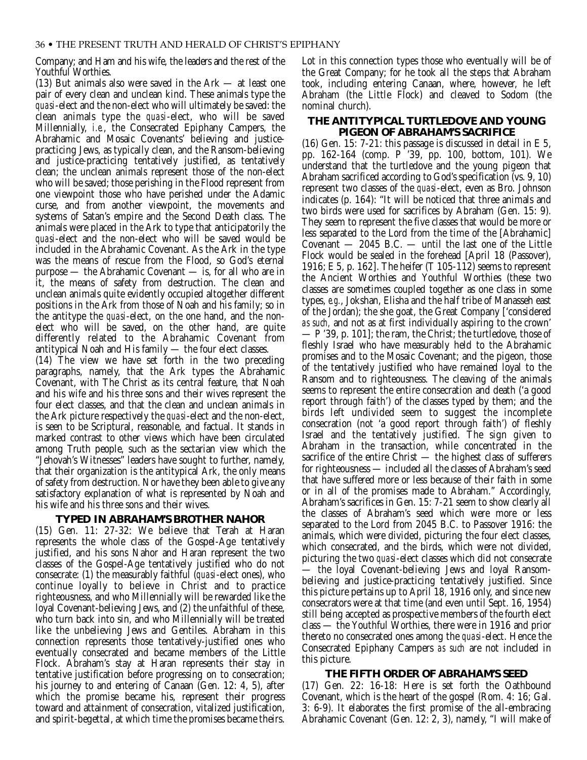Company; and Ham and his wife, the leaders and the rest of the Youthful Worthies.

(13) But animals also were saved in the Ark — at least one pair of every clean and unclean kind. These animals type the *quasi*-elect and the non-elect who will ultimately be saved: the clean animals type the *quasi*-elect, who will be saved Millennially, *i.e.*, the Consecrated Epiphany Campers, the Abrahamic and Mosaic Covenants' believing and justicepracticing Jews, as typically clean, and the Ransom-believing and justice-practicing tentatively justified, as tentatively clean; the unclean animals represent those of the non-elect who will be saved; those perishing in the Flood represent from one viewpoint those who have perished under the Adamic curse, and from another viewpoint, the movements and systems of Satan's empire and the Second Death class. The animals were placed in the Ark to type that anticipatorily the *quasi*-elect and the non-elect who will be saved would be included in the Abrahamic Covenant. As the Ark in the type was the means of rescue from the Flood, so God's eternal purpose — the Abrahamic Covenant — is, for all who are in it, the means of safety from destruction. The clean and unclean animals quite evidently occupied altogether different positions in the Ark from those of Noah and his family; so in the antitype the *quasi*-elect, on the one hand, and the nonelect who will be saved, on the other hand, are quite differently related to the Abrahamic Covenant from antitypical Noah and His family — the four elect classes.

(14) The view we have set forth in the two preceding paragraphs, namely, that the Ark types the Abrahamic Covenant, with The Christ as its central feature, that Noah and his wife and his three sons and their wives represent the four elect classes, and that the clean and unclean animals in the Ark picture respectively the *quasi*-elect and the non-elect, is seen to be Scriptural, reasonable, and factual. It stands in marked contrast to other views which have been circulated among Truth people, such as the sectarian view which the "Jehovah's Witnesses" leaders have sought to further, namely, that their organization is the antitypical Ark, the only means of safety from destruction. Nor have they been able to give any satisfactory explanation of what is represented by Noah and his wife and his three sons and their wives.

#### **TYPED IN ABRAHAM'S BROTHER NAHOR**

(15) Gen. 11: 27-32: We believe that Terah at Haran represents the whole class of the Gospel-Age tentatively justified, and his sons Nahor and Haran represent the two classes of the Gospel-Age tentatively justified who do not consecrate: (1) the measurably faithful (*quasi*-elect ones), who continue loyally to believe in Christ and to practice righteousness, and who Millennially will be rewarded like the loyal Covenant-believing Jews, and (2) the unfaithful of these, who turn back into sin, and who Millennially will be treated like the unbelieving Jews and Gentiles. Abraham in this connection represents those tentatively-justified ones who eventually consecrated and became members of the Little Flock. Abraham's stay at Haran represents their stay in tentative justification before progressing on to consecration; his journey to and entering of Canaan (Gen. 12: 4, 5), after which the promise became his, represent their progress toward and attainment of consecration, vitalized justification, and spirit-begettal, at which time the promises became theirs. Lot in this connection types those who eventually will be of the Great Company; for he took all the steps that Abraham took, including entering Canaan, where, however, he left Abraham (the Little Flock) and cleaved to Sodom (the nominal church).

#### **THE ANTITYPICAL TURTLEDOVE AND YOUNG PIGEON OF ABRAHAM'S SACRIFICE**

(16) Gen. 15: 7-21: this passage is discussed in detail in E 5, pp. 162-164 (comp. P '39, pp. 100, bottom, 101). We understand that the turtledove and the young pigeon that Abraham sacrificed according to God's specification (vs. 9, 10) represent two classes of the *quasi*-elect, even as Bro. Johnson indicates (p. 164): "It will be noticed that three animals and two birds were used for sacrifices by Abraham (Gen. 15: 9). They seem to represent the five classes that would be more or less separated to the Lord from the time of the [Abrahamic] Covenant  $-$  2045 B.C.  $-$  until the last one of the Little Flock would be sealed in the forehead [April 18 (Passover), 1916; E 5, p. 162]. The heifer (T 105-112) seems to represent the Ancient Worthies and Youthful Worthies (these two classes are sometimes coupled together as one class in some types, *e.g.*, Jokshan, Elisha and the half tribe of Manasseh east of the Jordan); the she goat, the Great Company ['considered *as such,* and not as at first individually aspiring to the crown' — P '39, p. 101]; the ram, the Christ; the turtledove, those of fleshly Israel who have measurably held to the Abrahamic promises and to the Mosaic Covenant; and the pigeon, those of the tentatively justified who have remained loyal to the Ransom and to righteousness. The cleaving of the animals seems to represent the entire consecration and death ('a good report through faith') of the classes typed by them; and the birds left undivided seem to suggest the incomplete consecration (not 'a good report through faith') of fleshly Israel and the tentatively justified. The sign given to Abraham in the transaction, while concentrated in the sacrifice of the entire Christ — the highest class of sufferers for righteousness — included all the classes of Abraham's seed that have suffered more or less because of their faith in some or in all of the promises made to Abraham." Accordingly, Abraham's sacrifices in Gen. 15: 7-21 seem to show clearly all the classes of Abraham's seed which were more or less separated to the Lord from 2045 B.C. to Passover 1916: the animals, which were divided, picturing the four elect classes, which consecrated, and the birds, which were not divided, picturing the two *quasi*-elect classes which did not consecrate — the loyal Covenant-believing Jews and loyal Ransombelieving and justice-practicing tentatively justified. Since this picture pertains up to April 18, 1916 only, and since new consecrators were at that time (and even until Sept. 16, 1954) still being accepted as prospective members of the fourth elect class — the Youthful Worthies, there were in 1916 and prior thereto no consecrated ones among the *quasi*-elect. Hence the Consecrated Epiphany Campers *as such* are not included in this picture.

#### **THE FIFTH ORDER OF ABRAHAM'S SEED**

(17) Gen. 22: 16-18: Here is set forth the Oathbound Covenant, which is the heart of the gospel (Rom. 4: 16; Gal. 3: 6-9). It elaborates the first promise of the all-embracing Abrahamic Covenant (Gen. 12: 2, 3), namely, "I will make of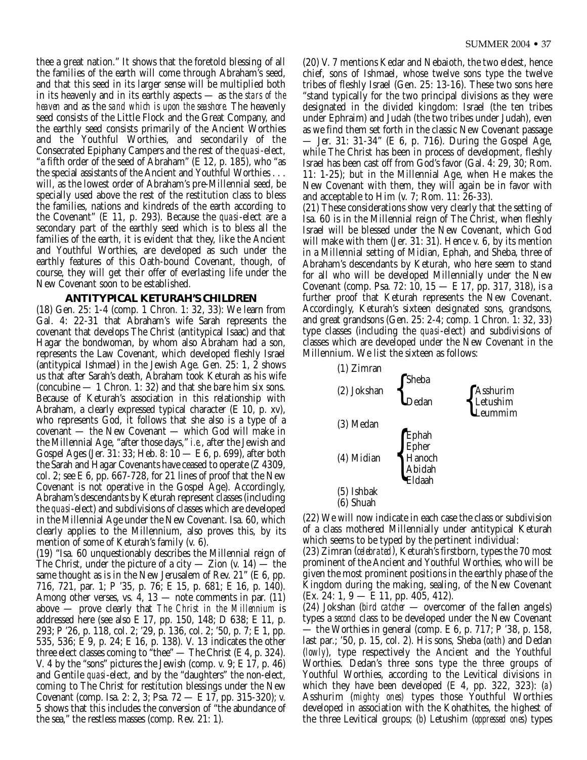thee a great nation." It shows that the foretold blessing of all the families of the earth will come through Abraham's seed, and that this seed in its larger sense will be multiplied both in its heavenly and in its earthly aspects — as the *stars of the heaven* and as the *sand which is upon the seashore.* The heavenly seed consists of the Little Flock and the Great Company, and the earthly seed consists primarily of the Ancient Worthies and the Youthful Worthies, and secondarily of the Consecrated Epiphany Campers and the rest of the *quasi*-elect, "a fifth order of the seed of Abraham" (E 12, p. 185), who "as the special assistants of the Ancient and Youthful Worthies . . . will, as the lowest order of Abraham's pre-Millennial seed, be specially used above the rest of the restitution class to bless the families, nations and kindreds of the earth according to the Covenant" (E 11, p. 293). Because the *quasi*-elect are a secondary part of the earthly seed which is to bless all the families of the earth, it is evident that they, like the Ancient and Youthful Worthies, are developed as such under the earthly features of this Oath-bound Covenant, though, of course, they will get their offer of everlasting life under the New Covenant soon to be established.

#### **ANTITYPICAL KETURAH'S CHILDREN**

(18) Gen. 25: 1-4 (comp. 1 Chron. 1: 32, 33): We learn from Gal. 4: 22-31 that Abraham's wife Sarah represents the covenant that develops The Christ (antitypical Isaac) and that Hagar the bondwoman, by whom also Abraham had a son, represents the Law Covenant, which developed fleshly Israel (antitypical Ishmael) in the Jewish Age. Gen.  $25: 1$ ,  $\dot{2}$  shows us that after Sarah's death, Abraham took Keturah as his wife (concubine  $-1$  Chron. 1: 32) and that she bare him six sons. Because of Keturah's association in this relationship with Abraham, a clearly expressed typical character (E 10, p. xv), who represents God, it follows that she also is a type of a covenant — the New Covenant — which God will make in the Millennial Age, "after those days," *i.e.*, after the Jewish and Gospel Ages (Jer. 31: 33; Heb. 8: 10 — E 6, p. 699), after both the Sarah and Hagar Covenants have ceased to operate (Z 4309, col. 2; see E 6, pp. 667-728, for 21 lines of proof that the New Covenant is not operative in the Gospel Age). Accordingly, Abraham's descendants by Keturah represent classes (including the *quasi*-elect) and subdivisions of classes which are developed in the Millennial Age under the New Covenant. Isa. 60, which clearly applies to the Millennium, also proves this, by its mention of some of Keturah's family (v. 6).

(19) "Isa. 60 unquestionably describes the Millennial reign of The Christ, under the picture of a city — Zion  $(v. 14)$  — the same thought as is in the New Jerusalem of Rev. 21" (E 6, pp. 716, 721, par. 1; P '35, p. 76; E 15, p. 681; E 16, p. 140). Among other verses, vs. 4,  $13$  — note comments in par.  $(11)$ above — prove clearly that *The Christ in the Millennium* is addressed here (see also E 17, pp. 150, 148; D 638; E 11, p. 293; P '26, p. 118, col. 2; '29, p. 136, col. 2; '50, p. 7; E 1, pp. 535, 536; E 9, p. 24; E 16, p. 138). V. 13 indicates the other three elect classes coming to "thee" — The Christ (E 4, p. 324). V. 4 by the "sons" pictures the Jewish (comp. v. 9; E 17, p. 46) and Gentile *quasi*-elect, and by the "daughters" the non-elect, coming to The Christ for restitution blessings under the New Covenant (comp. Isa. 2: 2, 3; Psa. 72 — E 17, pp. 315-320); v. 5 shows that this includes the conversion of "the abundance of the sea," the restless masses (comp. Rev. 21: 1).

(20) V. 7 mentions Kedar and Nebaioth, the two eldest, hence chief, sons of Ishmael, whose twelve sons type the twelve tribes of fleshly Israel (Gen. 25: 13-16). These two sons here "stand typically for the two principal divisions as they were designated in the divided kingdom: Israel (the ten tribes under Ephraim) and Judah (the two tribes under Judah), even as we find them set forth in the classic New Covenant passage — Jer. 31: 31-34" (E 6, p. 716). During the Gospel Age, while The Christ has been in process of development, fleshly Israel has been cast off from God's favor (Gal. 4: 29, 30; Rom. 11: 1-25); but in the Millennial Age, when He makes the New Covenant with them, they will again be in favor with and acceptable to Him (v. 7; Rom. 11: 26-33).

(21) These considerations show very clearly that the setting of Isa. 60 is in the Millennial reign of The Christ, when fleshly Israel will be blessed under the New Covenant, which God will make with them (Jer. 31: 31). Hence v. 6, by its mention in a Millennial setting of Midian, Ephah, and Sheba, three of Abraham's descendants by Keturah, who here seem to stand for all who will be developed Millennially under the New Covenant (comp. Psa. 72: 10, 15 — E 17, pp. 317, 318), is a further proof that Keturah represents the New Covenant. Accordingly, Keturah's sixteen designated sons, grandsons, and great grandsons (Gen. 25: 2-4; comp. 1 Chron. 1: 32, 33) type classes (including the *quasi*-elect) and subdivisions of classes which are developed under the New Covenant in the Millennium. We list the sixteen as follows:



(22) We will now indicate in each case the class or subdivision of a class mothered Millennially under antitypical Keturah which seems to be typed by the pertinent individual:

(23) Zimran (*celebrated*), Keturah's firstborn, types the 70 most prominent of the Ancient and Youthful Worthies, who will be given the most prominent positions in the earthly phase of the Kingdom during the making, sealing, of the New Covenant (Ex. 24: 1, 9 — E 11, pp. 405, 412).

(24) Jokshan (*bird catcher* — overcomer of the fallen angels) types a *second* class to be developed under the New Covenant — the Worthies in general (comp. E 6, p. 717; P '38, p. 158, last par.; '50, p. 15, col. 2). His sons, Sheba (*oath*) and Dedan (*lowly*), type respectively the Ancient and the Youthful Worthies. Dedan's three sons type the three groups of Youthful Worthies, according to the Levitical divisions in which they have been developed (E 4, pp. 322, 323): (*a*) Asshurim (*mighty ones)* types those Youthful Worthies developed in association with the Kohathites, the highest of the three Levitical groups; (*b*) Letushim (*oppressed ones*) types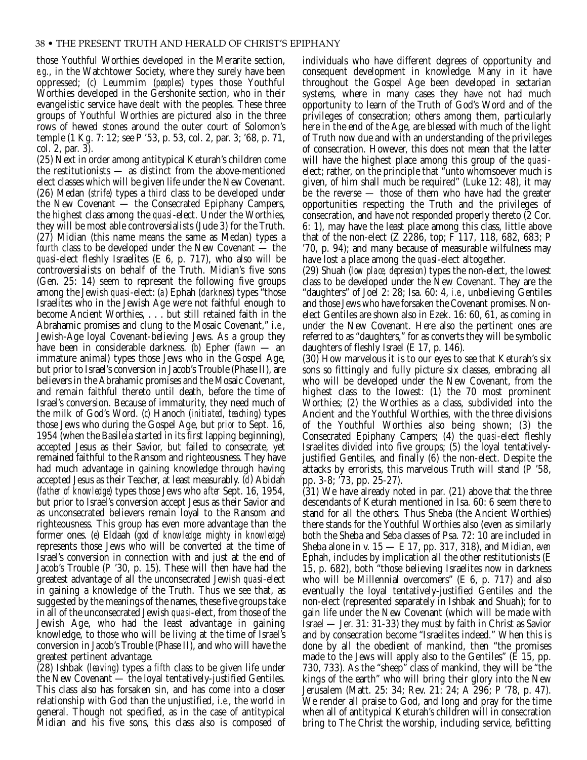those Youthful Worthies developed in the Merarite section, *e.g.*, in the Watchtower Society, where they surely have been oppressed; (*c*) Leummim (*peoples*) types those Youthful Worthies developed in the Gershonite section, who in their evangelistic service have dealt with the peoples. These three groups of Youthful Worthies are pictured also in the three rows of hewed stones around the outer court of Solomon's temple (1 Kg. 7: 12; see P '53, p. 53, col. 2, par. 3; '68, p. 71, col. 2, par. 3).

(25) Next in order among antitypical Keturah's children come the restitutionists — as distinct from the above-mentioned elect classes which will be given life under the New Covenant. (26) Medan (*strife*) types a *third* class to be developed under the New Covenant — the Consecrated Epiphany Campers, the highest class among the *quasi*-elect. Under the Worthies, they will be most able controversialists (Jude 3) for the Truth. (27) Midian (this name means the same as Medan) types a *fourth* class to be developed under the New Covenant — the *quasi*-elect fleshly Israelites (E 6, p. 717), who also will be controversialists on behalf of the Truth. Midian's five sons (Gen. 25: 14) seem to represent the following five groups among the Jewish *quasi*-elect: (*a*) Ephah (*darkness*) types "those Israelites who in the Jewish Age were not faithful enough to become Ancient Worthies, . . . but still retained faith in the Abrahamic promises and clung to the Mosaic Covenant," *i.e.*, Jewish-Age loyal Covenant-believing Jews. As a group they have been in considerable darkness. (*b*) Epher (*fawn* — an immature animal) types those Jews who in the Gospel Age, but prior to Israel's conversion in Jacob's Trouble (Phase II), are believers in the Abrahamic promises and the Mosaic Covenant, and remain faithful thereto until death, before the time of Israel's conversion. Because of immaturity, they need much of the milk of God's Word. (*c*) Hanoch (*initiated, teaching*) types those Jews who during the Gospel Age, but *prior* to Sept. 16, 1954 (when the Basileia started in its first lapping beginning), accepted Jesus as their Savior, but failed to consecrate, yet remained faithful to the Ransom and righteousness. They have had much advantage in gaining knowledge through having accepted Jesus as their Teacher, at least measurably. (*d*) Abidah (*father of knowledge*) types those Jews who *after* Sept. 16, 1954, but prior to Israel's conversion accept Jesus as their Savior and as unconsecrated believers remain loyal to the Ransom and righteousness. This group has even more advantage than the former ones. (*e*) Eldaah (*god of knowledge: mighty in knowledge*) represents those Jews who will be converted at the time of Israel's conversion in connection with and just at the end of Jacob's Trouble (P '30, p. 15). These will then have had the greatest advantage of all the unconsecrated Jewish *quasi*-elect in gaining a knowledge of the Truth. Thus we see that, as suggested by the meanings of the names, these five groups take in all of the unconsecrated Jewish *quasi*-elect, from those of the Jewish Age, who had the least advantage in gaining knowledge, to those who will be living at the time of Israel's conversion in Jacob's Trouble (Phase II), and who will have the greatest pertinent advantage.

(28) Ishbak (*leaving*) types a *fifth* class to be given life under the New Covenant — the loyal tentatively-justified Gentiles. This class also has forsaken sin, and has come into a closer relationship with God than the unjustified, *i.e.*, the world in general. Though not specified, as in the case of antitypical Midian and his five sons, this class also is composed of

individuals who have different degrees of opportunity and consequent development in knowledge. Many in it have throughout the Gospel Age been developed in sectarian systems, where in many cases they have not had much opportunity to learn of the Truth of God's Word and of the privileges of consecration; others among them, particularly here in the end of the Age, are blessed with much of the light of Truth now due and with an understanding of the privileges of consecration. However, this does not mean that the latter will have the highest place among this group of the *quasi*elect; rather, on the principle that "unto whomsoever much is given, of him shall much be required" (Luke 12: 48), it may be the reverse — those of them who have had the greater opportunities respecting the Truth and the privileges of consecration, and have not responded properly thereto (2 Cor. 6: 1), may have the least place among this class, little above that of the non-elect (Z 2286, top; F 117, 118, 682, 683; P '70, p. 94); and many because of measurable wilfulness may have lost a place among the *quasi*-elect altogether.

(29) Shuah (*low place, depression*) types the non-elect, the lowest class to be developed under the New Covenant. They are the "daughters" of Joel 2: 28; Isa. 60: 4, *i.e.*, unbelieving Gentiles and those Jews who have forsaken the Covenant promises. Nonelect Gentiles are shown also in Ezek. 16: 60, 61, as coming in under the New Covenant. Here also the pertinent ones are referred to as "daughters," for as converts they will be symbolic daughters of fleshly Israel (E 17, p. 146).

(30) How marvelous it is to our eyes to see that Keturah's six sons so fittingly and fully picture six classes, embracing all who will be developed under the New Covenant, from the highest class to the lowest: (1) the 70 most prominent Worthies; (2) the Worthies as a class, subdivided into the Ancient and the Youthful Worthies, with the three divisions of the Youthful Worthies also being shown; (3) the Consecrated Epiphany Campers; (4) the *quasi*-elect fleshly Israelites divided into five groups; (5) the loyal tentativelyjustified Gentiles, and finally (6) the non-elect. Despite the attacks by errorists, this marvelous Truth will stand (P '58, pp. 3-8; '73, pp. 25-27).

(31) We have already noted in par. (21) above that the three descendants of Keturah mentioned in Isa. 60: 6 seem there to stand for all the others. Thus Sheba (the Ancient Worthies) there stands for the Youthful Worthies also (even as similarly both the Sheba and Seba classes of Psa. 72: 10 are included in Sheba alone in v. 15 — E 17, pp. 317, 318), and Midian, *even* Ephah, includes by implication all the other restitutionists (E 15, p. 682), both "those believing Israelites now in darkness who will be Millennial overcomers" (E 6, p. 717) and also eventually the loyal tentatively-justified Gentiles and the non-elect (represented separately in Ishbak and Shuah); for to gain life under the New Covenant (which will be made with Israel — Jer. 31: 31-33) they must by faith in Christ as Savior and by consecration become "Israelites indeed." When this is done by all the obedient of mankind, then "the promises made to the Jews will apply also to the Gentiles" (E 15, pp. 730, 733). As the "sheep" class of mankind, they will be "the kings of the earth" who will bring their glory into the New Jerusalem (Matt. 25: 34; Rev. 21: 24; A 296; P '78, p. 47). We render all praise to God, and long and pray for the time when all of antitypical Keturah's children will in consecration bring to The Christ the worship, including service, befitting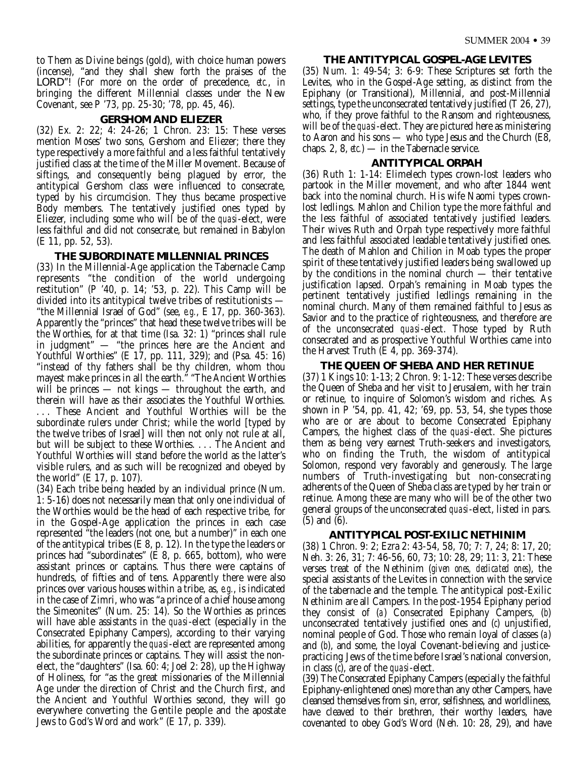to Them as Divine beings (gold), with choice human powers (incense), "and they shall shew forth the praises of the LORD"! (For more on the order of precedence, *etc.*, in bringing the different Millennial classes under the New Covenant, see P '73, pp. 25-30; '78, pp. 45, 46).

#### **GERSHOM AND ELIEZER**

(32) Ex. 2: 22; 4: 24-26; 1 Chron. 23: 15: These verses mention Moses' two sons, Gershom and Eliezer; there they type respectively a more faithful and a less faithful tentatively justified class at the time of the Miller Movement. Because of siftings, and consequently being plagued by error, the antitypical Gershom class were influenced to consecrate, typed by his circumcision. They thus became prospective Body members. The tentatively justified ones typed by Eliezer, including some who will be of the *quasi*-elect, were less faithful and did not consecrate, but remained in Babylon (E 11, pp. 52, 53).

#### **THE SUBORDINATE MILLENNIAL PRINCES**

(33) In the Millennial-Age application the Tabernacle Camp represents "the condition of the world undergoing restitution" (P '40, p. 14; '53, p. 22). This Camp will be divided into its antitypical twelve tribes of restitutionists — "the Millennial Israel of God" (see, *e.g.*, E 17, pp. 360-363). Apparently the "princes" that head these twelve tribes will be the Worthies, for at that time (Isa. 32: 1) "princes shall rule in judgment" — "the princes here are the Ancient and Youthful Worthies" (E 17, pp. 111, 329); and (Psa. 45: 16) "instead of thy fathers shall be thy children, whom thou mayest make princes in all the earth." "The Ancient Worthies will be princes — not kings — throughout the earth, and therein will have as their associates the Youthful Worthies. . . . These Ancient and Youthful Worthies will be the subordinate rulers under Christ; while the world [typed by the twelve tribes of Israel] will then not only not rule at all, but will be subject to these Worthies. . . . The Ancient and Youthful Worthies will stand before the world as the latter's visible rulers, and as such will be recognized and obeyed by the world" (E 17, p. 107).

(34) Each tribe being headed by an individual prince (Num. 1: 5-16) does not necessarily mean that only one individual of the Worthies would be the head of each respective tribe, for in the Gospel-Age application the princes in each case represented "the leaders (not one, but a number)" in each one of the antitypical tribes (E 8, p. 12). In the type the leaders or princes had "subordinates" (E 8, p. 665, bottom), who were assistant princes or captains. Thus there were captains of hundreds, of fifties and of tens. Apparently there were also princes over various houses within a tribe, as, *e.g.*, is indicated in the case of Zimri, who was "a prince of a chief house among the Simeonites" (Num. 25: 14). So the Worthies as princes will have able assistants in the *quasi*-elect (especially in the Consecrated Epiphany Campers), according to their varying abilities, for apparently the *quasi*-elect are represented among the subordinate princes or captains. They will assist the nonelect, the "daughters" (Isa. 60: 4; Joel 2: 28), up the Highway of Holiness, for "as the great missionaries of the Millennial Age under the direction of Christ and the Church first, and the Ancient and Youthful Worthies second, they will go everywhere converting the Gentile people and the apostate Jews to God's Word and work" (E 17, p. 339).

#### **THE ANTITYPICAL GOSPEL-AGE LEVITES**

(35) Num. 1: 49-54; 3: 6-9: These Scriptures set forth the Levites, who in the Gospel-Age setting, as distinct from the Epiphany (or Transitional), Millennial, and post-Millennial settings, type the unconsecrated tentatively justified (T 26, 27), who, if they prove faithful to the Ransom and righteousness, will be of the *quasi*-elect. They are pictured here as ministering to Aaron and his sons — who type Jesus and the Church (E8, chaps. 2, 8, *etc.*) — in the Tabernacle service.

#### **ANTITYPICAL ORPAH**

(36) Ruth 1: 1-14: Elimelech types crown-lost leaders who partook in the Miller movement, and who after 1844 went back into the nominal church. His wife Naomi types crownlost ledlings. Mahlon and Chilion type the more faithful and the less faithful of associated tentatively justified leaders. Their wives Ruth and Orpah type respectively more faithful and less faithful associated leadable tentatively justified ones. The death of Mahlon and Chilion in Moab types the proper spirit of these tentatively justified leaders being swallowed up by the conditions in the nominal church — their tentative justification lapsed. Orpah's remaining in Moab types the pertinent tentatively justified ledlings remaining in the nominal church. Many of them remained faithful to Jesus as Savior and to the practice of righteousness, and therefore are of the unconsecrated *quasi*-elect. Those typed by Ruth consecrated and as prospective Youthful Worthies came into the Harvest Truth (E 4, pp. 369-374).

#### **THE QUEEN OF SHEBA AND HER RETINUE**

(37) 1 Kings 10: 1-13; 2 Chron. 9: 1-12: These verses describe the Queen of Sheba and her visit to Jerusalem, with her train or retinue, to inquire of Solomon's wisdom and riches. As shown in P '54, pp. 41, 42; '69, pp. 53, 54, she types those who are or are about to become Consecrated Epiphany Campers, the highest class of the *quasi*-elect. She pictures them as being very earnest Truth-seekers and investigators, who on finding the Truth, the wisdom of antitypical Solomon, respond very favorably and generously. The large numbers of Truth-investigating but non-consecrating adherents of the Queen of Sheba class are typed by her train or retinue. Among these are many who will be of the other two general groups of the unconsecrated *quasi*-elect, listed in pars. (5) and (6).

#### **ANTITYPICAL POST-EXILIC NETHINIM**

(38) 1 Chron. 9: 2; Ezra 2: 43-54, 58, 70; 7: 7, 24; 8: 17, 20; Neh. 3: 26, 31; 7: 46-56, 60, 73; 10: 28, 29; 11: 3, 21: These verses treat of the Nethinim (*given ones, dedicated ones*), the special assistants of the Levites in connection with the service of the tabernacle and the temple. The antitypical post-Exilic Nethinim are all Campers. In the post-1954 Epiphany period they consist of (*a*) Consecrated Epiphany Campers, (*b*) unconsecrated tentatively justified ones and (*c*) unjustified, nominal people of God. Those who remain loyal of classes (*a*) and (*b*), and some, the loyal Covenant-believing and justicepracticing Jews of the time before Israel's national conversion, in class (*c*), are of the *quasi*-elect.

(39) The Consecrated Epiphany Campers (especially the faithful Epiphany-enlightened ones) more than any other Campers, have cleansed themselves from sin, error, selfishness, and worldliness, have cleaved to their brethren, their worthy leaders, have covenanted to obey God's Word (Neh. 10: 28, 29), and have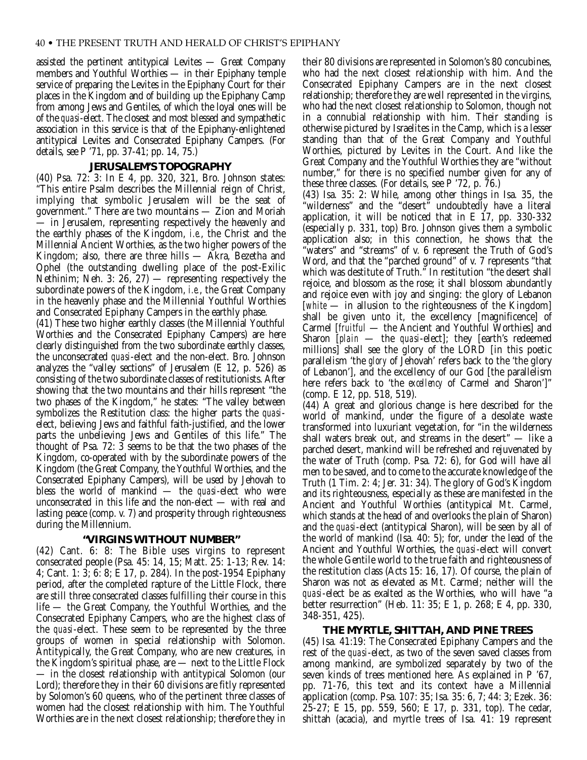assisted the pertinent antitypical Levites — Great Company members and Youthful Worthies — in their Epiphany temple service of preparing the Levites in the Epiphany Court for their places in the Kingdom and of building up the Epiphany Camp from among Jews and Gentiles, of which the loyal ones will be of the *quasi*-elect. The closest and most blessed and sympathetic association in this service is that of the Epiphany-enlightened antitypical Levites and Consecrated Epiphany Campers. (For details, see P '71, pp. 37-41; pp. 14, 75.)

#### **JERUSALEM'S TOPOGRAPHY**

(40) Psa. 72: 3: In E 4, pp. 320, 321, Bro. Johnson states: "This entire Psalm describes the Millennial reign of Christ, implying that symbolic Jerusalem will be the seat of government." There are two mountains — Zion and Moriah — in Jerusalem, representing respectively the heavenly and the earthly phases of the Kingdom, *i.e.*, the Christ and the Millennial Ancient Worthies, as the two higher powers of the Kingdom; also, there are three hills — Akra, Bezetha and Ophel (the outstanding dwelling place of the post-Exilic Nethinim; Neh. 3: 26, 27) — representing respectively the subordinate powers of the Kingdom, *i.e.*, the Great Company in the heavenly phase and the Millennial Youthful Worthies and Consecrated Epiphany Campers in the earthly phase.

(41) These two higher earthly classes (the Millennial Youthful Worthies and the Consecrated Epiphany Campers) are here clearly distinguished from the two subordinate earthly classes, the unconsecrated *quasi*-elect and the non-elect. Bro. Johnson analyzes the "valley sections" of Jerusalem (E 12, p. 526) as consisting of the two subordinate classes of restitutionists. After showing that the two mountains and their hills represent "the two phases of the Kingdom," he states: "The valley between symbolizes the Restitution class: the higher parts the *quasi*elect, believing Jews and faithful faith-justified, and the lower parts the unbelieving Jews and Gentiles of this life." The thought of Psa.  $72: 3$  seems to be that the two phases of the Kingdom, co-operated with by the subordinate powers of the Kingdom (the Great Company, the Youthful Worthies, and the Consecrated Epiphany Campers), will be used by Jehovah to bless the world of mankind — the *quasi*-elect who were unconsecrated in this life and the non-elect — with real and lasting peace (comp. v. 7) and prosperity through righteousness during the Millennium.

#### **"VIRGINS WITHOUT NUMBER"**

(42) Cant. 6: 8: The Bible uses virgins to represent consecrated people (Psa. 45: 14, 15; Matt. 25: 1-13; Rev. 14: 4; Cant. 1: 3; 6: 8; E 17, p. 284). In the post-1954 Epiphany period, after the completed rapture of the Little Flock, there are still three consecrated classes fulfilling their course in this life — the Great Company, the Youthful Worthies, and the Consecrated Epiphany Campers, who are the highest class of the *quasi*-elect. These seem to be represented by the three groups of women in special relationship with Solomon. Antitypically, the Great Company, who are new creatures, in the Kingdom's spiritual phase, are — next to the Little Flock — in the closest relationship with antitypical Solomon (our Lord); therefore they in their 60 divisions are fitly represented by Solomon's 60 queens, who of the pertinent three classes of women had the closest relationship with him. The Youthful Worthies are in the next closest relationship; therefore they in

their 80 divisions are represented in Solomon's 80 concubines, who had the next closest relationship with him. And the Consecrated Epiphany Campers are in the next closest relationship; therefore they are well represented in the virgins, who had the next closest relationship to Solomon, though not in a connubial relationship with him. Their standing is otherwise pictured by Israelites in the Camp, which is a lesser standing than that of the Great Company and Youthful Worthies, pictured by Levites in the Court. And like the Great Company and the Youthful Worthies they are "without number," for there is no specified number given for any of these three classes. (For details, see P '72, p. 76.)

(43) Isa. 35: 2: While, among other things in Isa. 35, the "wilderness" and the "desert" undoubtedly have a literal application, it will be noticed that in E 17, pp. 330-332 (especially p. 331, top) Bro. Johnson gives them a symbolic application also; in this connection, he shows that the "waters" and "streams" of v. 6 represent the Truth of God's Word, and that the "parched ground" of v. 7 represents "that which was destitute of Truth." In restitution "the desert shall rejoice, and blossom as the rose; it shall blossom abundantly and rejoice even with joy and singing: the glory of Lebanon [*white* — in allusion to the righteousness of the Kingdom] shall be given unto it, the excellency [magnificence] of Carmel [*fruitful* — the Ancient and Youthful Worthies] and Sharon [*plain* — the *quasi*-elect]; they [earth's redeemed millions] shall see the glory of the LORD [in this poetic parallelism 'the *glory* of Jehovah' refers back to the 'the glory of Lebanon'], and the excellency of our God [the parallelism here refers back to 'the *excellency* of Carmel and Sharon']" (comp. E 12, pp. 518, 519).

(44) A great and glorious change is here described for the world of mankind, under the figure of a desolate waste transformed into luxuriant vegetation, for "in the wilderness shall waters break out, and streams in the desert" — like a parched desert, mankind will be refreshed and rejuvenated by the water of Truth (comp. Psa. 72: 6), for God will have all men to be saved, and to come to the accurate knowledge of the Truth (1 Tim. 2: 4; Jer. 31: 34). The glory of God's Kingdom and its righteousness, especially as these are manifested in the Ancient and Youthful Worthies (antitypical Mt. Carmel, which stands at the head of and overlooks the plain of Sharon) and the *quasi*-elect (antitypical Sharon), will be seen by all of the world of mankind (Isa. 40: 5); for, under the lead of the Ancient and Youthful Worthies, the *quasi*-elect will convert the whole Gentile world to the true faith and righteousness of the restitution class (Acts 15: 16, 17). Of course, the plain of Sharon was not as elevated as Mt. Carmel; neither will the *quasi*-elect be as exalted as the Worthies, who will have "a better resurrection" (Heb. 11: 35; E 1, p. 268; E 4, pp. 330, 348-351, 425).

#### **THE MYRTLE, SHITTAH, AND PINE TREES**

(45) Isa. 41:19: The Consecrated Epiphany Campers and the rest of the *quasi*-elect, as two of the seven saved classes from among mankind, are symbolized separately by two of the seven kinds of trees mentioned here. As explained in P '67, pp. 71-76, this text and its context have a Millennial application (comp. Psa. 107: 35; Isa. 35: 6, 7; 44: 3; Ezek. 36: 25-27; E 15, pp. 559, 560; E 17, p. 331, top). The cedar, shittah (acacia), and myrtle trees of Isa. 41: 19 represent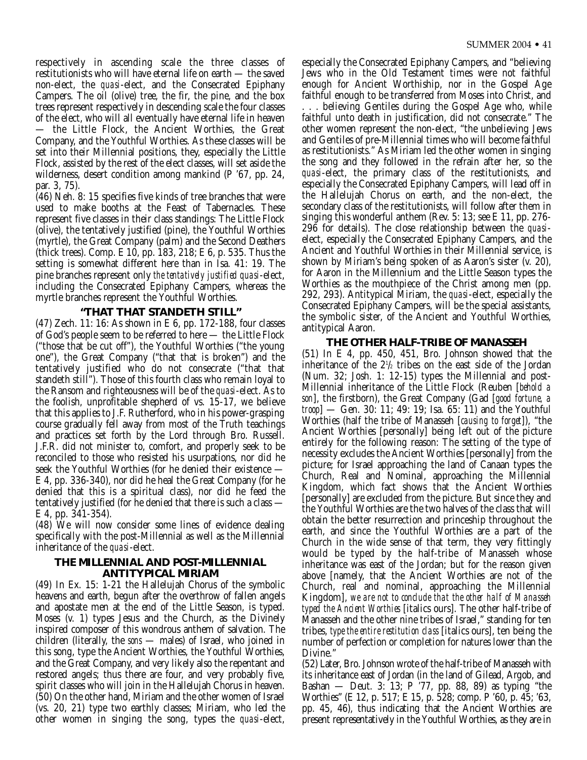respectively in ascending scale the three classes of restitutionists who will have eternal life on earth — the saved non-elect, the *quasi*-elect, and the Consecrated Epiphany Campers. The oil (olive) tree, the fir, the pine, and the box trees represent respectively in descending scale the four classes of the elect, who will all eventually have eternal life in heaven — the Little Flock, the Ancient Worthies, the Great Company, and the Youthful Worthies. As these classes will be set into their Millennial positions, they, especially the Little Flock, assisted by the rest of the elect classes, will set aside the wilderness, desert condition among mankind (P '67, pp. 24, par. 3, 75).

(46) Neh. 8: 15 specifies five kinds of tree branches that were used to make booths at the Feast of Tabernacles. These represent five classes in their class standings: The Little Flock (olive), the tentatively justified (pine), the Youthful Worthies (myrtle), the Great Company (palm) and the Second Deathers (thick trees). Comp. E 10, pp. 183, 218; E 6, p. 535. Thus the setting is somewhat different here than in Isa. 41: 19. The pine branches represent only *the tentatively justified quasi*-elect, including the Consecrated Epiphany Campers, whereas the myrtle branches represent the Youthful Worthies.

#### **"THAT THAT STANDETH STILL"**

(47) Zech. 11: 16: As shown in E 6, pp. 172-188, four classes of God's people seem to be referred to here — the Little Flock ("those that be cut off"), the Youthful Worthies ("the young one"), the Great Company ("that that is broken") and the tentatively justified who do not consecrate ("that that standeth still"). Those of this fourth class who remain loyal to the Ransom and righteousness will be of the *quasi*-elect. As to the foolish, unprofitable shepherd of vs. 15-17, we believe that this applies to J.F. Rutherford, who in his power-grasping course gradually fell away from most of the Truth teachings and practices set forth by the Lord through Bro. Russell. J.F.R. did not minister to, comfort, and properly seek to be reconciled to those who resisted his usurpations, nor did he seek the Youthful Worthies (for he denied their existence — E 4, pp. 336-340), nor did he heal the Great Company (for he denied that this is a spiritual class), nor did he feed the tentatively justified (for he denied that there is such a class — E 4, pp. 341-354).

(48) We will now consider some lines of evidence dealing specifically with the post-Millennial as well as the Millennial inheritance of the *quasi*-elect.

#### **THE MILLENNIAL AND POST-MILLENNIAL ANTITYPICAL MIRIAM**

(49) In Ex. 15: 1-21 the Hallelujah Chorus of the symbolic heavens and earth, begun after the overthrow of fallen angels and apostate men at the end of the Little Season, is typed. Moses (v. 1) types Jesus and the Church, as the Divinely inspired composer of this wondrous anthem of salvation. The children (literally, the *sons* — males) of Israel, who joined in this song, type the Ancient Worthies, the Youthful Worthies, and the Great Company, and very likely also the repentant and restored angels; thus there are four, and very probably five, spirit classes who will join in the Hallelujah Chorus in heaven. (50) On the other hand, Miriam and the other women of Israel (vs. 20, 21) type two earthly classes; Miriam, who led the other women in singing the song, types the *quasi*-elect,

especially the Consecrated Epiphany Campers, and "believing Jews who in the Old Testament times were not faithful enough for Ancient Worthiship, nor in the Gospel Age faithful enough to be transferred from Moses into Christ, and . . . believing Gentiles during the Gospel Age who, while faithful unto death in justification, did not consecrate." The other women represent the non-elect, "the unbelieving Jews and Gentiles of pre-Millennial times who will become faithful as restitutionists." As Miriam led the other women in singing the song and they followed in the refrain after her, so the *quasi*-elect, the primary class of the restitutionists, and especially the Consecrated Epiphany Campers, will lead off in the Hallelujah Chorus on earth, and the non-elect, the secondary class of the restitutionists, will follow after them in singing this wonderful anthem (Rev. 5: 13; see E 11, pp. 276- 296 for details). The close relationship between the *quasi*elect, especially the Consecrated Epiphany Campers, and the Ancient and Youthful Worthies in their Millennial service, is shown by Miriam's being spoken of as Aaron's sister (v. 20), for Aaron in the Millennium and the Little Season types the Worthies as the mouthpiece of the Christ among men (pp. 292, 293). Antitypical Miriam, the *quasi*-elect, especially the Consecrated Epiphany Campers, will be the special assistants, the symbolic sister, of the Ancient and Youthful Worthies, antitypical Aaron.

#### **THE OTHER HALF-TRIBE OF MANASSEH**

(51) In E 4, pp. 450, 451, Bro. Johnson showed that the inheritance of the  $2\frac{1}{2}$  tribes on the east side of the Jordan (Num. 32; Josh. 1: 12-15) types the Millennial and post-Millennial inheritance of the Little Flock (Reuben [*behold a son*], the firstborn), the Great Company (Gad [*good fortune, a troop*] — Gen. 30: 11; 49: 19; Isa. 65: 11) and the Youthful Worthies (half the tribe of Manasseh [*causing to forget*]), "the Ancient Worthies [personally] being left out of the picture entirely for the following reason: The setting of the type of necessity excludes the Ancient Worthies [personally] from the picture; for Israel approaching the land of Canaan types the Church, Real and Nominal, approaching the Millennial Kingdom, which fact shows that the Ancient Worthies [personally] are excluded from the picture. But since they and the Youthful Worthies are the two halves of the class that will obtain the better resurrection and princeship throughout the earth, and since the Youthful Worthies are a part of the Church in the wide sense of that term, they very fittingly would be typed by the half-tribe of Manasseh whose inheritance was east of the Jordan; but for the reason given above [namely, that the Ancient Worthies are not of the Church, real and nominal, approaching the Millennial Kingdom], *we are not to conclude that the other half of Manasseh typed the Ancient Worthies* [italics ours]. The other half-tribe of Manasseh and the other nine tribes of Israel," standing for ten tribes, *type the entire restitution class* [italics ours], ten being the number of perfection or completion for natures lower than the Divine."

(52) Later, Bro. Johnson wrote of the half-tribe of Manasseh with its inheritance east of Jordan (in the land of Gilead, Argob, and Bashan — Deut. 3: 13; P '77, pp. 88, 89) as typing "the Worthies" (E 12, p. 517; E 15, p. 528; comp. P '60, p. 45; '63, pp. 45, 46), thus indicating that the Ancient Worthies are present representatively in the Youthful Worthies, as they are in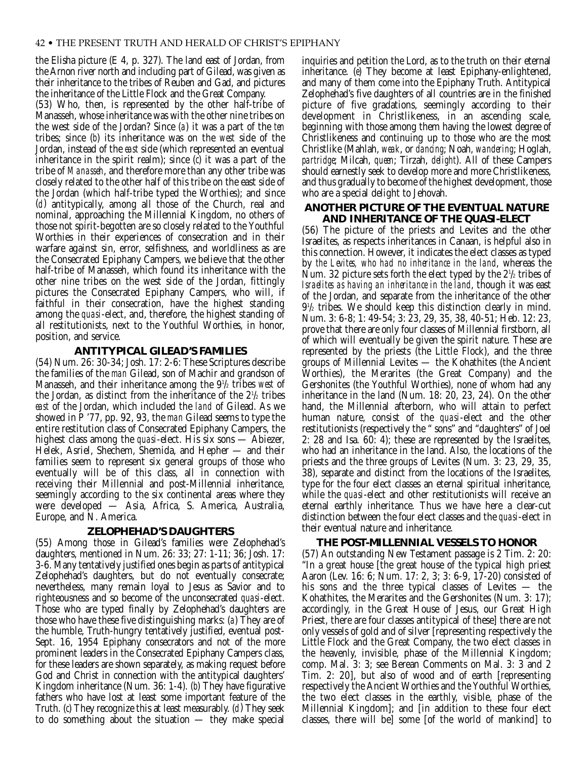the Elisha picture (E 4, p. 327). The land east of Jordan, from the Arnon river north and including part of Gilead, was given as their inheritance to the tribes of Reuben and Gad, and pictures the inheritance of the Little Flock and the Great Company.

(53) Who, then, is represented by the other half-tribe of Manasseh, whose inheritance was with the other nine tribes on the west side of the Jordan? Since (*a*) it was a part of the *ten* tribes; since (*b*) its inheritance was on the *west* side of the Jordan, instead of the *east* side (which represented an eventual inheritance in the spirit realm); since (*c*) it was a part of the tribe of *Manasseh*, and therefore more than any other tribe was closely related to the other half of this tribe on the east side of the Jordan (which half-tribe typed the Worthies); and since (*d*) antitypically, among all those of the Church, real and nominal, approaching the Millennial Kingdom, no others of those not spirit-begotten are so closely related to the Youthful Worthies in their experiences of consecration and in their warfare against sin, error, selfishness, and worldliness as are the Consecrated Epiphany Campers, we believe that the other half-tribe of Manasseh, which found its inheritance with the other nine tribes on the west side of the Jordan, fittingly pictures the Consecrated Epiphany Campers, who will, if faithful in their consecration, have the highest standing among the *quasi*-elect, and, therefore, the highest standing of all restitutionists, next to the Youthful Worthies, in honor, position, and service.

#### **ANTITYPICAL GILEAD'S FAMILIES**

(54) Num. 26: 30-34; Josh. 17: 2-6: These Scriptures describe the families of the *man* Gilead, son of Machir and grandson of Manasseh, and their inheritance among the 91 /2 tribes *west* of the Jordan, as distinct from the inheritance of the  $2\frac{1}{2}$  tribes *east* of the Jordan, which included the *land* of Gilead. As we showed in P '77, pp. 92, 93, the *man* Gilead seems to type the entire restitution class of Consecrated Epiphany Campers, the highest class among the *quasi*-elect. His six sons — Abiezer, Helek, Asriel, Shechem, Shemida, and Hepher — and their families seem to represent six general groups of those who eventually will be of this class, all in connection with receiving their Millennial and post-Millennial inheritance, seemingly according to the six continental areas where they were developed — Asia, Africa, S. America, Australia, Europe, and N. America.

#### **ZELOPHEHAD'S DAUGHTERS**

(55) Among those in Gilead's families were Zelophehad's daughters, mentioned in Num. 26: 33; 27: 1-11; 36; Josh. 17: 3-6. Many tentatively justified ones begin as parts of antitypical Zelophehad's daughters, but do not eventually consecrate; nevertheless, many remain loyal to Jesus as Savior and to righteousness and so become of the unconsecrated *quasi*-elect. Those who are typed finally by Zelophehad's daughters are those who have these five distinguishing marks: (*a*) They are of the humble, Truth-hungry tentatively justified, eventual post-Sept. 16, 1954 Epiphany consecrators and not of the more prominent leaders in the Consecrated Epiphany Campers class, for these leaders are shown separately, as making request before God and Christ in connection with the antitypical daughters' Kingdom inheritance (Num. 36: 1-4). (*b*) They have figurative fathers who have lost at least some important feature of the Truth. (*c*) They recognize this at least measurably. (*d*) They seek to do something about the situation — they make special

inquiries and petition the Lord, as to the truth on their eternal inheritance. (*e*) They become at least Epiphany-enlightened, and many of them come into the Epiphany Truth. Antitypical Zelophehad's five daughters of all countries are in the finished picture of five gradations, seemingly according to their development in Christlikeness, in an ascending scale, beginning with those among them having the lowest degree of Christlikeness and continuing up to those who are the most Christlike (Mahlah, *weak*, or *dancing*; Noah, *wandering*; Hoglah, *partridge*; Milcah, *queen*; Tirzah, *delight*). All of these Campers should earnestly seek to develop more and more Christlikeness, and thus gradually to become of the highest development, those who are a special delight to Jehovah.

#### **ANOTHER PICTURE OF THE EVENTUAL NATURE AND INHERITANCE OF THE** *QUASI***-ELECT**

(56) The picture of the priests and Levites and the other Israelites, as respects inheritances in Canaan, is helpful also in this connection. However, it indicates the elect classes as typed by *the Levites, who had no inheritance in the land*, whereas the Num. 32 picture sets forth the elect typed by the  $2\frac{1}{2}$  tribes of *Israelites as having an inheritance in the land*, though it was east of the Jordan, and separate from the inheritance of the other 91 /2 tribes. We should keep this distinction clearly in mind. Num. 3: 6-8; 1: 49-54; 3: 23, 29, 35, 38, 40-51; Heb. 12: 23, prove that there are only four classes of Millennial firstborn, all of which will eventually be given the spirit nature. These are represented by the priests (the Little Flock), and the three groups of Millennial Levites — the Kohathites (the Ancient Worthies), the Merarites (the Great Company) and the Gershonites (the Youthful Worthies), none of whom had any inheritance in the land (Num. 18: 20, 23, 24). On the other hand, the Millennial afterborn, who will attain to perfect human nature, consist of the *quasi*-elect and the other restitutionists (respectively the " sons" and "daughters" of Joel 2: 28 and Isa. 60: 4); these are represented by the Israelites, who had an inheritance in the land. Also, the locations of the priests and the three groups of Levites (Num. 3: 23, 29, 35, 38), separate and distinct from the locations of the Israelites, type for the four elect classes an eternal spiritual inheritance, while the *quasi*-elect and other restitutionists will receive an eternal earthly inheritance. Thus we have here a clear-cut distinction between the four elect classes and the *quasi*-elect in their eventual nature and inheritance.

#### **THE POST-MILLENNIAL VESSELS TO HONOR**

(57) An outstanding New Testament passage is 2 Tim. 2: 20: "In a great house [the great house of the typical high priest Aaron (Lev. 16: 6; Num. 17: 2, 3; 3: 6-9, 17-20) consisted of his sons and the three typical classes of Levites — the Kohathites, the Merarites and the Gershonites (Num. 3: 17); accordingly, in the Great House of Jesus, our Great High Priest, there are four classes antitypical of these] there are not only vessels of gold and of silver [representing respectively the Little Flock and the Great Company, the two elect classes in the heavenly, invisible, phase of the Millennial Kingdom; comp. Mal. 3: 3; see Berean Comments on Mal. 3: 3 and 2 Tim. 2: 20], but also of wood and of earth [representing respectively the Ancient Worthies and the Youthful Worthies, the two elect classes in the earthly, visible, phase of the Millennial Kingdom]; and [in addition to these four elect classes, there will be] some [of the world of mankind] to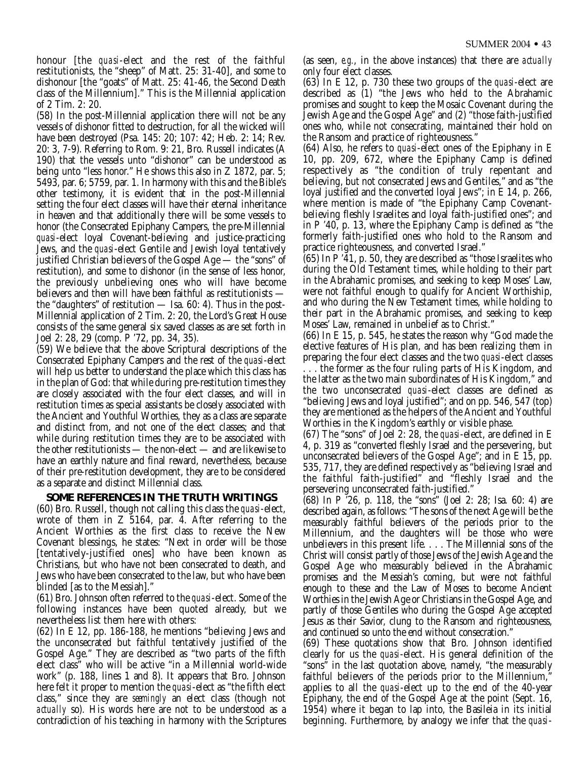honour [the *quasi*-elect and the rest of the faithful restitutionists, the "sheep" of Matt. 25: 31-40], and some to dishonour [the "goats" of Matt. 25: 41-46, the Second Death class of the Millennium]." This is the Millennial application of 2 Tim. 2: 20.

(58) In the post-Millennial application there will not be any vessels of dishonor fitted to destruction, for all the wicked will have been destroyed (Psa. 145: 20; 107: 42; Heb. 2: 14; Rev. 20: 3, 7-9). Referring to Rom. 9: 21, Bro. Russell indicates (A 190) that the vessels unto "dishonor" can be understood as being unto "less honor." He shows this also in Z 1872, par. 5; 5493, par. 6; 5759, par. 1. In harmony with this and the Bible's other testimony, it is evident that in the post-Millennial setting the four elect classes will have their eternal inheritance in heaven and that additionally there will be some vessels to honor (the Consecrated Epiphany Campers, the pre-Millennial *quasi*-elect loyal Covenant-believing and justice-practicing Jews, and the *quasi*-elect Gentile and Jewish loyal tentatively justified Christian believers of the Gospel Age — the "sons" of restitution), and some to dishonor (in the sense of less honor, the previously unbelieving ones who will have become believers and then will have been faithful as restitutionists the "daughters" of restitution — Isa. 60: 4). Thus in the post-Millennial application of 2 Tim. 2: 20, the Lord's Great House consists of the same general six saved classes as are set forth in Joel 2: 28, 29 (comp. P '72, pp. 34, 35).

(59) We believe that the above Scriptural descriptions of the Consecrated Epiphany Campers and the rest of the *quasi*-elect will help us better to understand the place which this class has in the plan of God: that while during pre-restitution times they are closely associated with the four elect classes, and will in restitution times as special assistants be closely associated with the Ancient and Youthful Worthies, they as a class are separate and distinct from, and not one of the elect classes; and that while during restitution times they are to be associated with the other restitutionists — the non-elect — and are likewise to have an earthly nature and final reward, nevertheless, because of their pre-restitution development, they are to be considered as a separate and distinct Millennial class.

#### **SOME REFERENCES IN THE TRUTH WRITINGS**

(60) Bro. Russell, though not calling this class the *quasi*-elect, wrote of them in  $Z$  5164, par. 4. After referring to the Ancient Worthies as the first class to receive the New Covenant blessings, he states: "Next in order will be those [tentatively-justified ones] who have been known as Christians, but who have not been consecrated to death, and Jews who have been consecrated to the law, but who have been blinded [as to the Messiah]."

(61) Bro. Johnson often referred to the *quasi*-elect. Some of the following instances have been quoted already, but we nevertheless list them here with others:

(62) In E 12, pp. 186-188, he mentions "believing Jews and the unconsecrated but faithful tentatively justified of the Gospel Age." They are described as "two parts of the fifth elect class" who will be active "in a Millennial world-wide work" (p. 188, lines 1 and 8). It appears that Bro. Johnson here felt it proper to mention the *quasi*-elect as "the fifth elect class," since they are *seemingly* an elect class (though not *actually* so). His words here are not to be understood as a contradiction of his teaching in harmony with the Scriptures

(as seen, *e.g.*, in the above instances) that there are *actually* only four elect classes.

(63) In E 12, p. 730 these two groups of the *quasi*-elect are described as (1) "the Jews who held to the Abrahamic promises and sought to keep the Mosaic Covenant during the Jewish Age and the Gospel Age" and (2) "those faith-justified ones who, while not consecrating, maintained their hold on the Ransom and practice of righteousness."

(64) Also, he refers to *quasi*-elect ones of the Epiphany in E 10, pp. 209, 672, where the Epiphany Camp is defined respectively as "the condition of truly repentant and believing, but not consecrated Jews and Gentiles," and as "the loyal justified and the converted loyal Jews"; in E 14, p. 266, where mention is made of "the Epiphany Camp Covenantbelieving fleshly Israelites and loyal faith-justified ones"; and in P '40, p. 13, where the Epiphany Camp is defined as "the formerly faith-justified ones who hold to the Ransom and practice righteousness, and converted Israel."

 $(65)$  In P '41, p. 50, they are described as "those Israelites who during the Old Testament times, while holding to their part in the Abrahamic promises, and seeking to keep Moses' Law, were not faithful enough to qualify for Ancient Worthiship, and who during the New Testament times, while holding to their part in the Abrahamic promises, and seeking to keep Moses' Law, remained in unbelief as to Christ."

(66) In E 15, p. 545, he states the reason why "God made the elective features of His plan, and has been realizing them in preparing the four elect classes and the two *quasi*-elect classes

. . . the former as the four ruling parts of His Kingdom, and the latter as the two main subordinates of His Kingdom," and the two unconsecrated *quasi*-elect classes are defined as "believing Jews and loyal justified"; and on pp. 546, 547 (top) they are mentioned as the helpers of the Ancient and Youthful Worthies in the Kingdom's earthly or visible phase.

(67) The "sons" of Joel 2: 28, the *quasi*-elect, are defined in E 4, p. 319 as "converted fleshly Israel and the persevering, but unconsecrated believers of the Gospel Age"; and in E 15, pp. 535, 717, they are defined respectively as "believing Israel and the faithful faith-justified" and "fleshly Israel and the persevering unconsecrated faith-justified."

(68) In P '26, p. 118, the "sons" (Joel 2: 28; Isa. 60: 4) are described again, as follows: "The sons of the next Age will be the measurably faithful believers of the periods prior to the Millennium, and the daughters will be those who were unbelievers in this present life. . . . The Millennial sons of the Christ will consist partly of those Jews of the Jewish Age and the Gospel Age who measurably believed in the Abrahamic promises and the Messiah's coming, but were not faithful enough to these and the Law of Moses to become Ancient Worthies in the Jewish Age or Christians in the Gospel Age, and partly of those Gentiles who during the Gospel Age accepted Jesus as their Savior, clung to the Ransom and righteousness, and continued so unto the end without consecration."

(69) These quotations show that Bro. Johnson identified clearly for us the *quasi*-elect. His general definition of the "sons" in the last quotation above, namely, "the measurably faithful believers of the periods prior to the Millennium," applies to all the *quasi*-elect up to the end of the 40-year Epiphany, the end of the Gospel Age at the point (Sept. 16, 1954) where it began to lap into, the Basileia in its initial beginning. Furthermore, by analogy we infer that the *quasi*-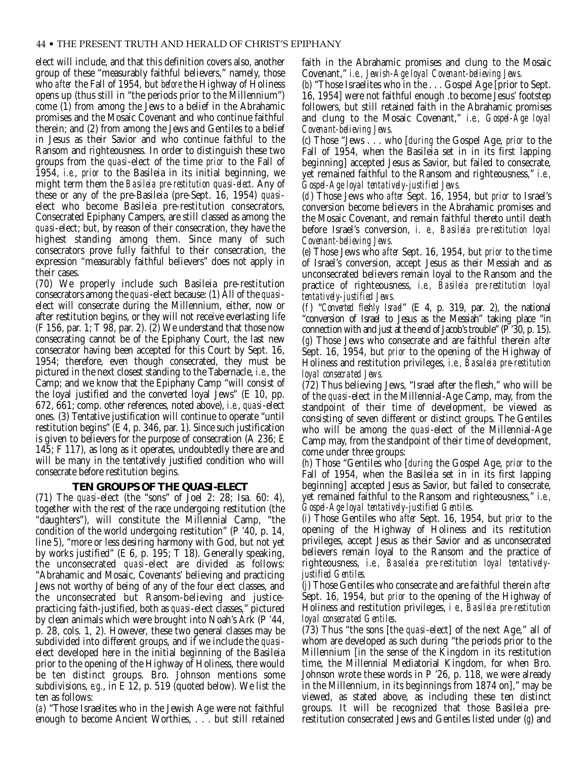elect will include, and that this definition covers also, another group of these "measurably faithful believers," namely, those who *after* the Fall of 1954, but *before* the Highway of Holiness opens up (thus still in "the periods prior to the Millennium") come (1) from among the Jews to a belief in the Abrahamic promises and the Mosaic Covenant and who continue faithful therein; and (2) from among the Jews and Gentiles to a belief in Jesus as their Savior and who continue faithful to the Ransom and righteousness. In order to distinguish these two groups from the *quasi*-elect of the time *prior* to the Fall of 1954, *i.e.*, *prior* to the Basileia in its initial beginning, we might term them the *Basileia pre-restitution quasi-elect*. Any of these or any of the pre-Basileia (pre-Sept. 16, 1954) *quasi*elect who become Basileia pre-restitution consecrators, Consecrated Epiphany Campers, are still classed as among the *quasi*-elect; but, by reason of their consecration, they have the highest standing among them. Since many of such consecrators prove fully faithful to their consecration, the expression "measurably faithful believers" does not apply in their cases.

(70) We properly include such Basileia pre-restitution consecrators among the *quasi*-elect because: (1) All of the *quasi*elect will consecrate during the Millennium, either, now or after restitution begins, or they will not receive everlasting life  $(F 156, par. 1; T 98, par. 2)$ .  $(2)$  We understand that those now consecrating cannot be of the Epiphany Court, the last new consecrator having been accepted for this Court by Sept. 16, 1954; therefore, even though consecrated, they must be pictured in the next closest standing to the Tabernacle, *i.e.*, the Camp; and we know that the Epiphany Camp "will consist of the loyal justified and the converted loyal Jews" (E 10, pp. 672, 661; comp. other references, noted above), *i.e.*, *quasi*-elect ones. (3) Tentative justification will continue to operate "until restitution begins" (E 4, p. 346, par. 1). Since such justification is given to believers for the purpose of consecration (A 236; E 145; F 117), as long as it operates, undoubtedly there are and will be many in the tentatively justified condition who will consecrate before restitution begins.

#### **TEN GROUPS OF THE** *QUASI***-ELECT**

(71) The *quasi*-elect (the "sons" of Joel 2: 28; Isa. 60: 4), together with the rest of the race undergoing restitution (the "daughters"), will constitute the Millennial Camp, "the condition of the world undergoing restitution" (P '40, p. 14, line 5), "more or less desiring harmony with God, but not yet by works justified" (E 6, p. 195; T 18). Generally speaking, the unconsecrated *quasi*-elect are divided as follows: "Abrahamic and Mosaic, Covenants' believing and practicing Jews not worthy of being of any of the four elect classes, and the unconsecrated but Ransom-believing and justicepracticing faith-justified, both as *quasi*-elect classes," pictured by clean animals which were brought into Noah's Ark (P '44, p. 28, cols. 1, 2). However, these two general classes may be subdivided into different groups, and if we include the *quasi*elect developed here in the initial beginning of the Basileia prior to the opening of the Highway of Holiness, there would be ten distinct groups. Bro. Johnson mentions some subdivisions, *e.g.*, in E 12, p. 519 (quoted below). We list the ten as follows:

(*a*) "Those Israelites who in the Jewish Age were not faithful enough to become Ancient Worthies, . . . but still retained faith in the Abrahamic promises and clung to the Mosaic Covenant," *i.e., Jewish-Age loyal Covenant-believing Jews.*

(*b*) "Those Israelites who in the . . . Gospel Age [prior to Sept. 16, 1954] were not faithful enough .to become Jesus' footstep followers, but still retained faith in the Abrahamic promises and clung to the Mosaic Covenant," *i.e., Gospel-Age loyal Covenant-believing Jews.*

(*c*) Those "Jews . . . who [*during* the Gospel Age, *prior* to the Fall of 1954, when the Basileia set in in its first lapping beginning] accepted Jesus as Savior, but failed to consecrate, yet remained faithful to the Ransom and righteousness," *i.e., Gospel-Age loyal tentatively-justified Jews.*

(*d*) Those Jews who *after* Sept. 16, 1954, but *prior* to Israel's conversion become believers in the Abrahamic promises and the Mosaic Covenant, and remain faithful thereto until death before Israel's conversion, *i. e., Basileia pre-restitution loyal Covenant-believing Jews.*

(*e*) Those Jews who *after* Sept. 16, 1954, but *prior* to the time of Israel's conversion, accept Jesus as their Messiah and as unconsecrated believers remain loyal to the Ransom and the practice of righteousness, *i.e., Basileia pre-restitution loyal tentatively-justified Jews.*

(*f* ) "*Converted fleshly Israel*" (E 4, p. 319, par. 2), the national "conversion of Israel to Jesus as the Messiah" taking place "in connection with and just at the end of Jacob's trouble" (P '30, p. 15). (*g*) Those Jews who consecrate and are faithful therein *after* Sept. 16, 1954, but *prior* to the opening of the Highway of Holiness and restitution privileges, *i.e., Basaleia pre-restitution loyal consecrated Jews.*

(72) Thus believing Jews, "Israel after the flesh," who will be of the *quasi*-elect in the Millennial-Age Camp, may, from the standpoint of their time of development, be viewed as consisting of seven different or distinct groups. The Gentiles who will be among the *quasi*-elect of the Millennial-Age Camp may, from the standpoint of their time of development, come under three groups:

(*h*) Those "Gentiles who [*during* the Gospel Age, *prior* to the Fall of 1954, when the Basileia set in in its first lapping beginning] accepted Jesus as Savior, but failed to consecrate, yet remained faithful to the Ransom and righteousness," *i.e., Gospel-Age loyal tentatively-justified Gentiles.*

(*i*) Those Gentiles who *after* Sept. 16, 1954, but *prior* to the opening of the Highway of Holiness and its restitution privileges, accept Jesus as their Savior and as unconsecrated believers remain loyal to the Ransom and the practice of righteousness, *i.e., Basaleia pre-restitution loyal tentativelyjustified Gentiles.*

(*j*) Those Gentiles who consecrate and are faithful therein *after* Sept. 16, 1954, but *prior* to the opening of the Highway of Holiness and restitution privileges, *i e., Basileia pre-restitution loyal consecrated Gentiles*.

(73) Thus "the sons [the *quasi*-elect] of the next Age," all of whom are developed as such during "the periods prior to the Millennium [in the sense of the Kingdom in its restitution time, the Millennial Mediatorial Kingdom, for when Bro. Johnson wrote these words in P '26, p. 118, we were already in the Millennium, in its beginnings from 1874 on]," may be viewed, as stated above, as including these ten distinct groups. It will be recognized that those Basileia prerestitution consecrated Jews and Gentiles listed under (*g*) and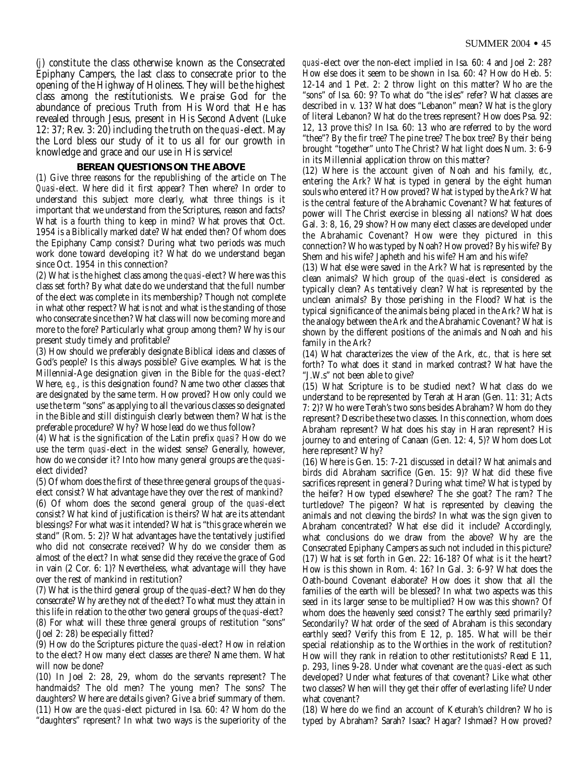(*j*) constitute the class otherwise known as the Consecrated Epiphany Campers, the last class to consecrate prior to the opening of the Highway of Holiness. They will be the highest class among the restitutionists. We praise God for the abundance of precious Truth from His Word that He has revealed through Jesus, present in His Second Advent (Luke 12: 37; Rev. 3: 20) including the truth on the *quasi*-elect. May the Lord bless our study of it to us all for our growth in knowledge and grace and our use in His service!

#### **BEREAN QUESTIONS ON THE ABOVE**

(1) Give three reasons for the republishing of the article on The *Quasi*-elect. Where did it first appear? Then where? In order to understand this subject more clearly, what three things is it important that we understand from the Scriptures, reason and facts? What is a fourth thing to keep in mind? What proves that Oct. 1954 is a Biblically marked date? What ended then? Of whom does the Epiphany Camp consist? During what two periods was much work done toward developing it? What do we understand began since Oct. 1954 in this connection?

(2) What is the highest class among the *quasi*-elect? Where was this class set forth? By what date do we understand that the full number of the elect was complete in its membership? Though not complete in what other respect? What is not and what is the standing of those who consecrate since then? What class will now be coming more and more to the fore? Particularly what group among them? Why is our present study timely and profitable?

(3) How should we preferably designate Biblical ideas and classes of God's people? Is this always possible? Give examples. What is the Millennial-Age designation given in the Bible for the *quasi*-elect? Where, *e.g.*, is this designation found? Name two other classes that are designated by the same term. How proved? How only could we use the term "sons" as applying to all the various classes so designated in the Bible and still distinguish clearly between them? What is the preferable procedure? Why? Whose lead do we thus follow?

(4) What is the signification of the Latin prefix *quasi*? How do we use the term *quasi*-elect in the widest sense? Generally, however, how do we consider it? Into how many general groups are the *quasi*elect divided?

(5) Of whom does the first of these three general groups of the *quasi*elect consist? What advantage have they over the rest of mankind? (6) Of whom does the second general group of the *quasi*-elect consist? What kind of justification is theirs? What are its attendant blessings? For what was it intended? What is "this grace wherein we stand" (Rom. 5: 2)? What advantages have the tentatively justified who did not consecrate received? Why do we consider them as almost of the elect? In what sense did they receive the grace of God in vain (2 Cor. 6: 1)? Nevertheless, what advantage will they have over the rest of mankind in restitution?

(7) What is the third general group of the *quasi*-elect? When do they consecrate? Why are they not of the elect? To what must they attain in this life in relation to the other two general groups of the *quasi*-elect? (8) For what will these three general groups of restitution "sons" (Joel 2: 28) be especially fitted?

(9) How do the Scriptures picture the *quasi*-elect? How in relation to the elect? How many elect classes are there? Name them. What will now be done?

(10) In Joel 2: 28, 29, whom do the servants represent? The handmaids? The old men? The young men? The sons? The daughters? Where are details given? Give a brief summary of them. (11) How are the *quasi*-elect pictured in Isa. 60: 4? Whom do the "daughters" represent? In what two ways is the superiority of the

*quasi*-elect over the non-elect implied in Isa. 60: 4 and Joel 2: 28? How else does it seem to be shown in Isa. 60: 4? How do Heb. 5: 12-14 and 1 Pet. 2: 2 throw light on this matter? Who are the "sons" of Isa. 60: 9? To what do "the isles" refer? What classes are described in v. 13? What does "Lebanon" mean? What is the glory of literal Lebanon? What do the trees represent? How does Psa. 92: 12, 13 prove this? In Isa. 60: 13 who are referred to by the word "thee"? By the fir tree? The pine tree? The box tree? By their being brought "together" unto The Christ? What light does Num. 3: 6-9 in its Millennial application throw on this matter?

(12) Where is the account given of Noah and his family, *etc.*, entering the Ark? What is typed in general by the eight human souls who entered it? How proved? What is typed by the Ark? What is the central feature of the Abrahamic Covenant? What features of power will The Christ exercise in blessing all nations? What does Gal. 3: 8, 16, 29 show? How many elect classes are developed under the Abrahamic Covenant? How were they pictured in this connection? Who was typed by Noah? How proved? By his wife? By Shem and his wife? Japheth and his wife? Ham and his wife?

(13) What else were saved in the Ark? What is represented by the clean animals? Which group of the *quasi*-elect is considered as typically clean? As tentatively clean? What is represented by the unclean animals? By those perishing in the Flood? What is the typical significance of the animals being placed in the Ark? What is the analogy between the Ark and the Abrahamic Covenant? What is shown by the different positions of the animals and Noah and his family in the Ark?

(14) What characterizes the view of the Ark, *etc.,* that is here set forth? To what does it stand in marked contrast? What have the "J.W.s" not been able to give?

(15) What Scripture is to be studied next? What class do we understand to be represented by Terah at Haran (Gen. 11: 31; Acts 7: 2)? Who were Terah's two sons besides Abraham? Whom do they represent? Describe these two classes. In this connection, whom does Abraham represent? What does his stay in Haran represent? His journey to and entering of Canaan (Gen. 12: 4, 5)? Whom does Lot here represent? Why?

(16) Where is Gen. 15: 7-21 discussed in detail? What animals and birds did Abraham sacrifice (Gen. 15: 9)? What did these five sacrifices represent in general? During what time? What is typed by the heifer? How typed elsewhere? The she goat? The ram? The turtledove? The pigeon? What is represented by cleaving the animals and not cleaving the birds? In what was the sign given to Abraham concentrated? What else did it include? Accordingly, what conclusions do we draw from the above? Why are the Consecrated Epiphany Campers as such not included in this picture? (17) What is set forth in Gen. 22: 16-18? Of what is it the heart? How is this shown in Rom. 4: 16? In Gal. 3: 6-9? What does the Oath-bound Covenant elaborate? How does it show that all the families of the earth will be blessed? In what two aspects was this seed in its larger sense to be multiplied? How was this shown? Of whom does the heavenly seed consist? The earthly seed primarily? Secondarily? What order of the seed of Abraham is this secondary earthly seed? Verify this from E 12, p. 185. What will be their special relationship as to the Worthies in the work of restitution? How will they rank in relation to other restitutionists? Read E 11, p. 293, lines 9-28. Under what covenant are the *quasi*-elect as such developed? Under what features of that covenant? Like what other two classes? When will they get their offer of everlasting life? Under what covenant?

(18) Where do we find an account of Keturah's children? Who is typed by Abraham? Sarah? Isaac? Hagar? Ishmael? How proved?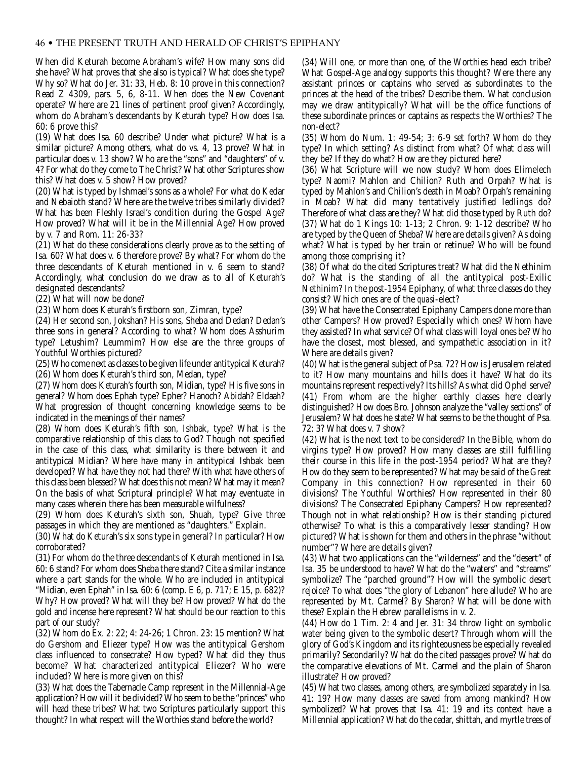#### 46 • THE PRESENT TRUTH AND HERALD OF CHRIST'S EPIPHANY

When did Keturah become Abraham's wife? How many sons did she have? What proves that she also is typical? What does she type? Why so? What do Jer. 31: 33, Heb. 8: 10 prove in this connection? Read Z 4309, pars. 5, 6, 8-11. When does the New Covenant operate? Where are 21 lines of pertinent proof given? Accordingly, whom do Abraham's descendants by Keturah type? How does Isa. 60: 6 prove this?

(19) What does Isa. 60 describe? Under what picture? What is a similar picture? Among others, what do vs. 4, 13 prove? What in particular does v. 13 show? Who are the "sons" and "daughters" of v. 4? For what do they come to The Christ? What other Scriptures show this? What does v. 5 show? How proved?

(20) What is typed by Ishmael's sons as a whole? For what do Kedar and Nebaioth stand? Where are the twelve tribes similarly divided? What has been Fleshly Israel's condition during the Gospel Age? How proved? What will it be in the Millennial Age? How proved by v. 7 and Rom. 11: 26-33?

(21) What do these considerations clearly prove as to the setting of Isa. 60? What does v. 6 therefore prove? By what? For whom do the three descendants of Keturah mentioned in v. 6 seem to stand? Accordingly, what conclusion do we draw as to all of Keturah's designated descendants?

(22) What will now be done?

(23) Whom does Keturah's firstborn son, Zimran, type?

(24) Her second son, Jokshan? His sons, Sheba and Dedan? Dedan's three sons in general? According to what? Whom does Asshurim type? Letushim? Leummim? How else are the three groups of Youthful Worthies pictured?

(25) Who come next as classes to be given life under antitypical Keturah? (26) Whom does Keturah's third son, Medan, type?

(27) Whom does Keturah's fourth son, Midian, type? His five sons in general? Whom does Ephah type? Epher? Hanoch? Abidah? Eldaah? What progression of thought concerning knowledge seems to be indicated in the meanings of their names?

(28) Whom does Keturah's fifth son, Ishbak, type? What is the comparative relationship of this class to God? Though not specified in the case of this class, what similarity is there between it and antitypical Midian? Where have many in antitypical Ishbak been developed? What have they not had there? With what have others of this class been blessed? What does this not mean? What may it mean? On the basis of what Scriptural principle? What may eventuate in many cases wherein there has been measurable wilfulness?

(29) Whom does Keturah's sixth son, Shuah, type? Give three passages in which they are mentioned as "daughters." Explain.

(30) What do Keturah's six sons type in general? In particular? How corroborated?

(31) For whom do the three descendants of Keturah mentioned in Isa. 60: 6 stand? For whom does Sheba there stand? Cite a similar instance where a part stands for the whole. Who are included in antitypical "Midian, even Ephah" in Isa. 60: 6 (comp. E 6, p. 717; E 15, p. 682)? Why? How proved? What will they be? How proved? What do the gold and incense here represent? What should be our reaction to this part of our study?

(32) Whom do Ex. 2: 22; 4: 24-26; 1 Chron. 23: 15 mention? What do Gershom and Eliezer type? How was the antitypical Gershom class influenced to consecrate? How typed? What did they thus become? What characterized antitypical Eliezer? Who were included? Where is more given on this?

(33) What does the Tabernacle Camp represent in the Millennial-Age application? How will it be divided? Who seem to be the "princes" who will head these tribes? What two Scriptures particularly support this thought? In what respect will the Worthies stand before the world?

(34) Will one, or more than one, of the Worthies head each tribe? What Gospel-Age analogy supports this thought? Were there any assistant princes or captains who served as subordinates to the princes at the head of the tribes? Describe them. What conclusion may we draw antitypically? What will be the office functions of these subordinate princes or captains as respects the Worthies? The non-elect?

(35) Whom do Num. 1: 49-54; 3: 6-9 set forth? Whom do they type? In which setting? As distinct from what? Of what class will they be? If they do what? How are they pictured here?

(36) What Scripture will we now study? Whom does Elimelech type? Naomi? Mahlon and Chilion? Ruth and Orpah? What is typed by Mahlon's and Chilion's death in Moab? Orpah's remaining in Moab? What did many tentatively justified ledlings do? Therefore of what class are they? What did those typed by Ruth do? (37) What do 1 Kings 10: 1-13; 2 Chron. 9: 1-12 describe? Who are typed by the Queen of Sheba? Where are details given? As doing what? What is typed by her train or retinue? Who will be found among those comprising it?

(38) Of what do the cited Scriptures treat? What did the Nethinim do? What is the standing of all the antitypical post-Exilic Nethinim? In the post-1954 Epiphany, of what three classes do they consist? Which ones are of the *quasi*-elect?

(39) What have the Consecrated Epiphany Campers done more than other Campers? How proved? Especially which ones? Whom have they assisted? In what service? Of what class will loyal ones be? Who have the closest, most blessed, and sympathetic association in it? Where are details given?

(40) What is the general subject of Psa. 72? How is Jerusalem related to it? How many mountains and hills does it have? What do its mountains represent respectively? Its hills? As what did Ophel serve? (41) From whom are the higher earthly classes here clearly distinguished? How does Bro. Johnson analyze the "valley sections" of Jerusalem? What does he state? What seems to be the thought of Psa. 72: 3? What does v. 7 show?

(42) What is the next text to be considered? In the Bible, whom do virgins type? How proved? How many classes are still fulfilling their course in this life in the post-1954 period? What are they? How do they seem to be represented? What may be said of the Great Company in this connection? How represented in their 60 divisions? The Youthful Worthies? How represented in their 80 divisions? The Consecrated Epiphany Campers? How represented? Though not in what relationship? How is their standing pictured otherwise? To what is this a comparatively lesser standing? How pictured? What is shown for them and others in the phrase "without number"? Where are details given?

(43) What two applications can the "wilderness" and the "desert" of Isa. 35 be understood to have? What do the "waters" and "streams" symbolize? The "parched ground"? How will the symbolic desert rejoice? To what does "the glory of Lebanon" here allude? Who are represented by Mt. Carmel? By Sharon? What will be done with these? Explain the Hebrew parallelisms in v. 2.

(44) How do 1 Tim. 2: 4 and Jer. 31: 34 throw light on symbolic water being given to the symbolic desert? Through whom will the glory of God's Kingdom and its righteousness be especially revealed primarily? Secondarily? What do the cited passages prove? What do the comparative elevations of Mt. Carmel and the plain of Sharon illustrate? How proved?

(45) What two classes, among others, are symbolized separately in Isa. 41: 19? How many classes are saved from among mankind? How symbolized? What proves that Isa. 41: 19 and its context have a Millennial application? What do the cedar, shittah, and myrtle trees of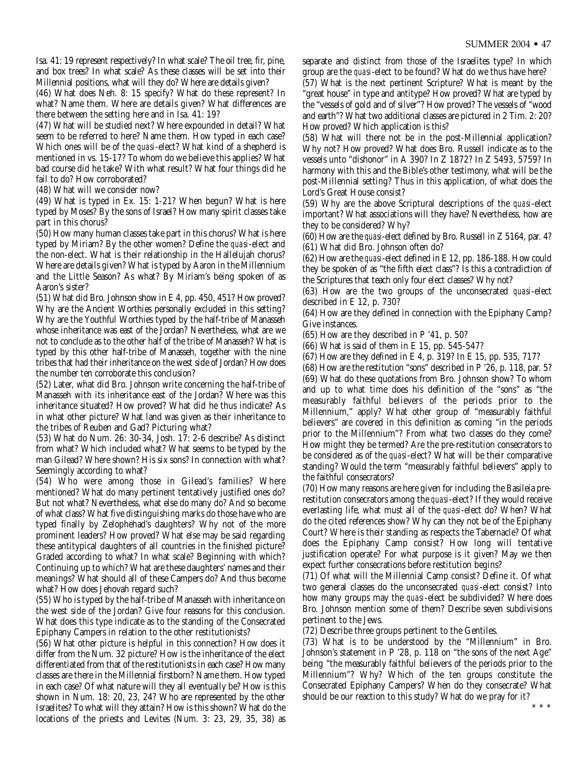Isa. 41: 19 represent respectively? In what scale? The oil tree, fir, pine, and box trees? In what scale? As these classes will be set into their Millennial positions, what will they do? Where are details given?

(46) What does Neh. 8: 15 specify? What do these represent? In what? Name them. Where are details given? What differences are there between the setting here and in Isa. 41: 19?

(47) What will be studied next? Where expounded in detail? What seem to be referred to here? Name them. How typed in each case? Which ones will be of the *quasi*-elect? What kind of a shepherd is mentioned in vs. 15-17? To whom do we believe this applies? What bad course did he take? With what result? What four things did he fail to do? How corroborated?

(48) What will we consider now?

(49) What is typed in Ex. 15: 1-21? When begun? What is here typed by Moses? By the sons of Israel? How many spirit classes take part in this chorus?

(50) How many human classes take part in this chorus? What is here typed by Miriam? By the other women? Define the *quasi*-elect and the non-elect. What is their relationship in the Hallelujah chorus? Where are details given? What is typed by Aaron in the Millennium and the Little Season? As what? By Miriam's being spoken of as Aaron's sister?

(51) What did Bro. Johnson show in E 4, pp. 450, 451? How proved? Why are the Ancient Worthies personally excluded in this setting? Why are the Youthful Worthies typed by the half-tribe of Manasseh whose inheritance was east of the Jordan? Nevertheless, what are we not to conclude as to the other half of the tribe of Manasseh? What is typed by this other half-tribe of Manasseh, together with the nine tribes that had their inheritance on the west side of Jordan? How does the number ten corroborate this conclusion?

(52) Later, what did Bro. Johnson write concerning the half-tribe of Manasseh with its inheritance east of the Jordan? Where was this inheritance situated? How proved? What did he thus indicate? As in what other picture? What land was given as their inheritance to the tribes of Reuben and Gad? Picturing what?

(53) What do Num. 26: 30-34, Josh. 17: 2-6 describe? As distinct from what? Which included what? What seems to be typed by the man Gilead? Where shown? His six sons? In connection with what? Seemingly according to what?

(54) Who were among those in Gilead's families? Where mentioned? What do many pertinent tentatively justified ones do? But not what? Nevertheless, what else do many do? And so become of what class? What five distinguishing marks do those have who are typed finally by Zelophehad's daughters? Why not of the more prominent leaders? How proved? What else may be said regarding these antitypical daughters of all countries in the finished picture? Graded according to what? In what scale? Beginning with which? Continuing up to which? What are these daughters' names and their meanings? What should all of these Campers do? And thus become what? How does Jehovah regard such?

(55) Who is typed by the half-tribe of Manasseh with inheritance on the west side of the Jordan? Give four reasons for this conclusion. What does this type indicate as to the standing of the Consecrated Epiphany Campers in relation to the other restitutionists?

(56) What other picture is helpful in this connection? How does it differ from the Num. 32 picture? How is the inheritance of the elect differentiated from that of the restitutionists in each case? How many classes are there in the Millennial firstborn? Name them. How typed in each case? Of what nature will they all eventually be? How is this shown in Num. 18: 20, 23, 24? Who are represented by the other Israelites? To what will they attain? How is this shown? What do the locations of the priests and Levites (Num. 3: 23, 29, 35, 38) as separate and distinct from those of the Israelites type? In which group are the *quasi*-elect to be found? What do we thus have here? (57) What is the next pertinent Scripture? What is meant by the

"great house" in type and antitype? How proved? What are typed by the "vessels of gold and of silver"? How proved? The vessels of "wood and earth"? What two additional classes are pictured in 2 Tim. 2: 20? How proved? Which application is this?

(58) What will there not be in the post-Millennial application? Why not? How proved? What does Bro. Russell indicate as to the vessels unto "dishonor" in A 390? In Z 1872? In Z 5493, 5759? In harmony with this and the Bible's other testimony, what will be the post-Millennial setting? Thus in this application, of what does the Lord's Great House consist?

(59) Why are the above Scriptural descriptions of the *quasi*-elect important? What associations will they have? Nevertheless, how are they to be considered? Why?

(60) How are the *quasi*-elect defined by Bro. Russell in Z 5164, par. 4? (61) What did Bro. Johnson often do?

(62) How are the *quasi*-elect defined in E 12, pp. 186-188. How could they be spoken of as "the fifth elect class"? Is this a contradiction of the Scriptures that teach only four elect classes? Why not?

(63) How are the two groups of the unconsecrated *quasi*-elect described in E 12, p. 730?

(64) How are they defined in connection with the Epiphany Camp? Give instances.

(65) How are they described in P '41, p. 50?

(66) What is said of them in E 15, pp. 545-547?

(67) How are they defined in E 4, p. 319? In E 15, pp. 535, 717?

(68) How are the restitution "sons" described in P '26, p. 118, par. 5? (69) What do these quotations from Bro. Johnson show? To whom and up to what time does his definition of the "sons" as "the measurably faithful believers of the periods prior to the Millennium," apply? What other group of "measurably faithful believers" are covered in this definition as coming "in the periods prior to the Millennium"? From what two classes do they come? How might they be termed? Are the pre-restitution consecrators to be considered as of the *quasi*-elect? What will be their comparative standing? Would the term "measurably faithful believers" apply to the faithful consecrators?

(70) How many reasons are here given for including the Basileia prerestitution consecrators among the *quasi*-elect? If they would receive everlasting life, what must all of the *quasi*-elect do? When? What do the cited references show? Why can they not be of the Epiphany Court? Where is their standing as respects the Tabernacle? Of what does the Epiphany Camp consist? How long will tentative justification operate? For what purpose is it given? May we then expect further consecrations before restitution begins?

(71) Of what will the Millennial Camp consist? Define it. Of what two general classes do the unconsecrated *quasi*-elect consist? Into how many groups may the *quasi*-elect be subdivided? Where does Bro. Johnson mention some of them? Describe seven subdivisions pertinent to the Jews.

(72) Describe three groups pertinent to the Gentiles.

(73) What is to be understood by the "Millennium" in Bro. Johnson's statement in P '28, p. 118 on "the sons of the next Age" being "the measurably faithful believers of the periods prior to the Millennium"? Why? Which of the ten groups constitute the Consecrated Epiphany Campers? When do they consecrate? What should be our reaction to this study? What do we pray for it?